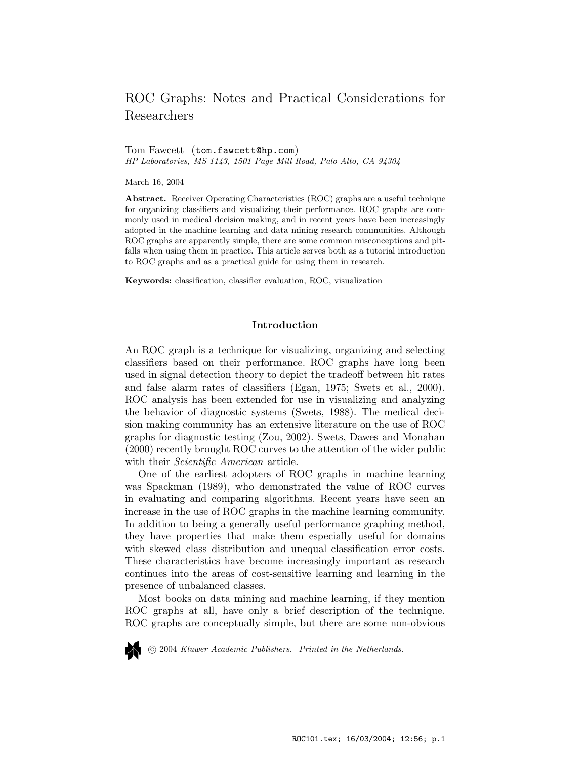# ROC Graphs: Notes and Practical Considerations for Researchers

Tom Fawcett (tom.fawcett@hp.com) HP Laboratories, MS 1143, 1501 Page Mill Road, Palo Alto, CA 94304

March 16, 2004

Abstract. Receiver Operating Characteristics (ROC) graphs are a useful technique for organizing classifiers and visualizing their performance. ROC graphs are commonly used in medical decision making, and in recent years have been increasingly adopted in the machine learning and data mining research communities. Although ROC graphs are apparently simple, there are some common misconceptions and pitfalls when using them in practice. This article serves both as a tutorial introduction to ROC graphs and as a practical guide for using them in research.

Keywords: classification, classifier evaluation, ROC, visualization

#### Introduction

An ROC graph is a technique for visualizing, organizing and selecting classifiers based on their performance. ROC graphs have long been used in signal detection theory to depict the tradeoff between hit rates and false alarm rates of classifiers (Egan, 1975; Swets et al., 2000). ROC analysis has been extended for use in visualizing and analyzing the behavior of diagnostic systems (Swets, 1988). The medical decision making community has an extensive literature on the use of ROC graphs for diagnostic testing (Zou, 2002). Swets, Dawes and Monahan (2000) recently brought ROC curves to the attention of the wider public with their *Scientific American* article.

One of the earliest adopters of ROC graphs in machine learning was Spackman (1989), who demonstrated the value of ROC curves in evaluating and comparing algorithms. Recent years have seen an increase in the use of ROC graphs in the machine learning community. In addition to being a generally useful performance graphing method, they have properties that make them especially useful for domains with skewed class distribution and unequal classification error costs. These characteristics have become increasingly important as research continues into the areas of cost-sensitive learning and learning in the presence of unbalanced classes.

Most books on data mining and machine learning, if they mention ROC graphs at all, have only a brief description of the technique. ROC graphs are conceptually simple, but there are some non-obvious



c 2004 Kluwer Academic Publishers. Printed in the Netherlands.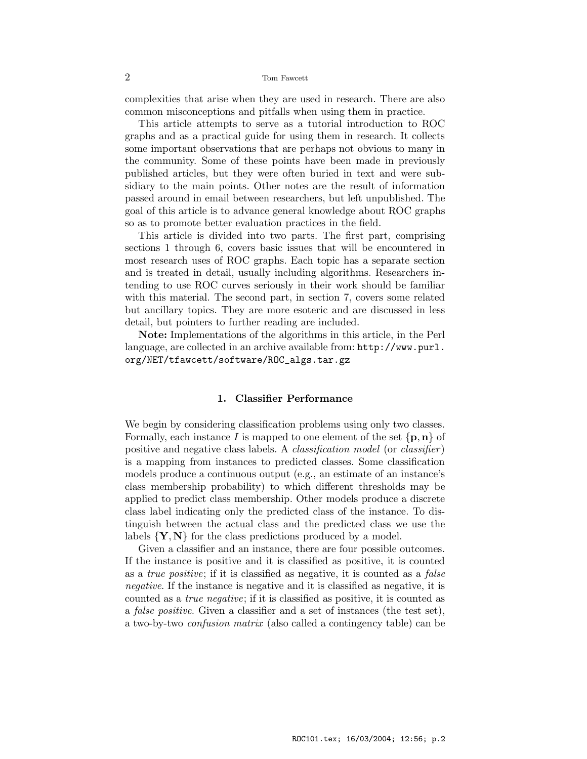complexities that arise when they are used in research. There are also common misconceptions and pitfalls when using them in practice.

This article attempts to serve as a tutorial introduction to ROC graphs and as a practical guide for using them in research. It collects some important observations that are perhaps not obvious to many in the community. Some of these points have been made in previously published articles, but they were often buried in text and were subsidiary to the main points. Other notes are the result of information passed around in email between researchers, but left unpublished. The goal of this article is to advance general knowledge about ROC graphs so as to promote better evaluation practices in the field.

This article is divided into two parts. The first part, comprising sections 1 through 6, covers basic issues that will be encountered in most research uses of ROC graphs. Each topic has a separate section and is treated in detail, usually including algorithms. Researchers intending to use ROC curves seriously in their work should be familiar with this material. The second part, in section 7, covers some related but ancillary topics. They are more esoteric and are discussed in less detail, but pointers to further reading are included.

Note: Implementations of the algorithms in this article, in the Perl language, are collected in an archive available from: http://www.purl. org/NET/tfawcett/software/ROC\_algs.tar.gz

#### 1. Classifier Performance

We begin by considering classification problems using only two classes. Formally, each instance I is mapped to one element of the set  $\{p, n\}$  of positive and negative class labels. A *classification model* (or *classifier*) is a mapping from instances to predicted classes. Some classification models produce a continuous output (e.g., an estimate of an instance's class membership probability) to which different thresholds may be applied to predict class membership. Other models produce a discrete class label indicating only the predicted class of the instance. To distinguish between the actual class and the predicted class we use the labels  ${Y, N}$  for the class predictions produced by a model.

Given a classifier and an instance, there are four possible outcomes. If the instance is positive and it is classified as positive, it is counted as a true positive; if it is classified as negative, it is counted as a false negative. If the instance is negative and it is classified as negative, it is counted as a true negative; if it is classified as positive, it is counted as a *false positive*. Given a classifier and a set of instances (the test set), a two-by-two confusion matrix (also called a contingency table) can be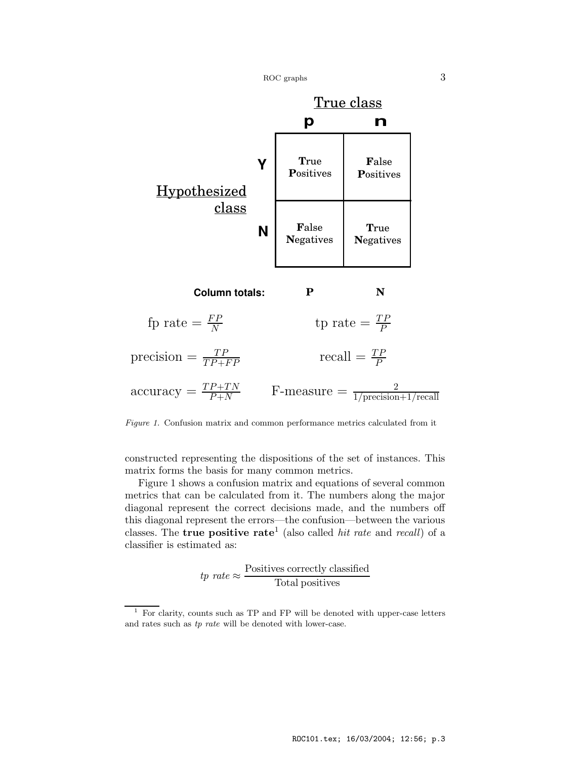



Figure 1. Confusion matrix and common performance metrics calculated from it

constructed representing the dispositions of the set of instances. This matrix forms the basis for many common metrics.

Figure 1 shows a confusion matrix and equations of several common metrics that can be calculated from it. The numbers along the major diagonal represent the correct decisions made, and the numbers off this diagonal represent the errors—the confusion—between the various classes. The **true positive rate**  $\left($  also called *hit rate* and *recall* $\right)$  of a classifier is estimated as:

> $tp$  rate  $\approx \frac{\text{Positive correctly classified}}{\text{Total } \cdot \cdot \cdot}$ Total positives

<sup>1</sup> For clarity, counts such as TP and FP will be denoted with upper-case letters and rates such as tp rate will be denoted with lower-case.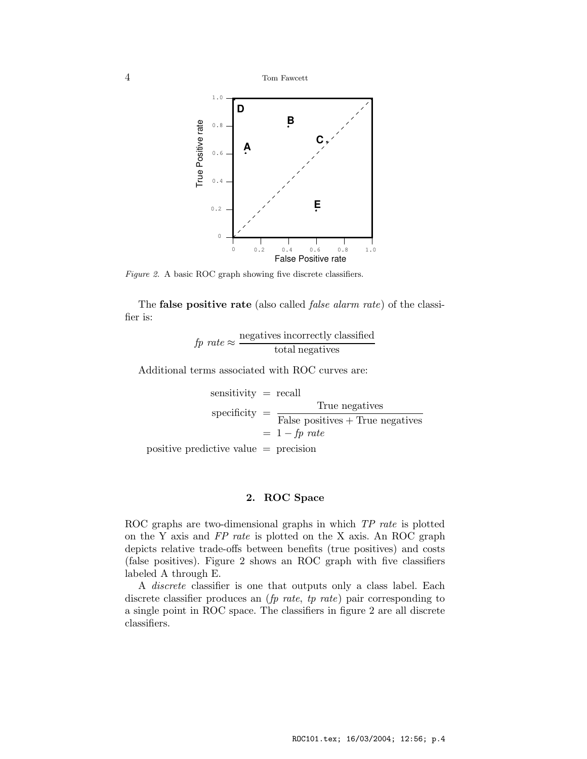

Figure 2. A basic ROC graph showing five discrete classifiers.

The **false positive rate** (also called *false alarm rate*) of the classifier is:

$$
fp\ rate \approx \frac{\text{negatives incorrectly classified}}{\text{total negatives}}
$$

Additional terms associated with ROC curves are:

sensitivity = recall\n
$$
specificity = \frac{True\ negatives}{False\ positives + True\ negatives}
$$
\n= 1 - fp rate\npositive predictive value = precision

## 2. ROC Space

ROC graphs are two-dimensional graphs in which TP rate is plotted on the Y axis and FP rate is plotted on the X axis. An ROC graph depicts relative trade-offs between benefits (true positives) and costs (false positives). Figure 2 shows an ROC graph with five classifiers labeled A through E.

A discrete classifier is one that outputs only a class label. Each discrete classifier produces an *(fp rate, tp rate)* pair corresponding to a single point in ROC space. The classifiers in figure 2 are all discrete classifiers.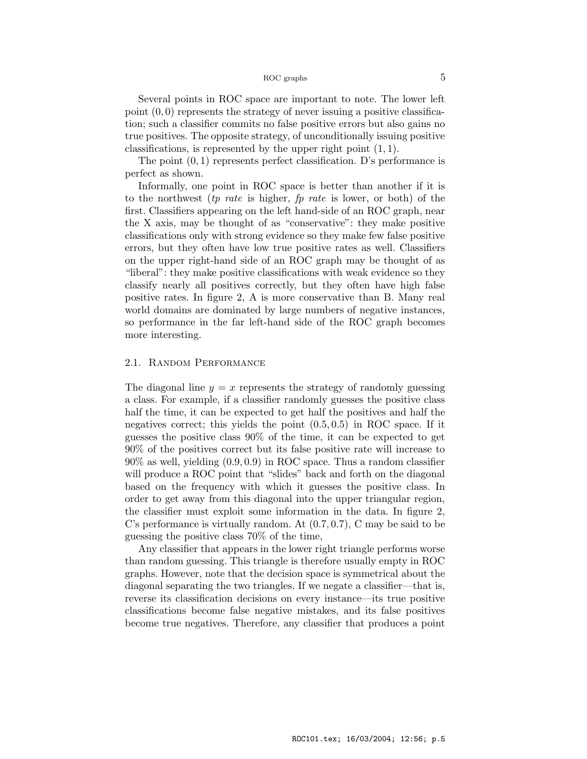## $ROC$  graphs  $5$

Several points in ROC space are important to note. The lower left point  $(0, 0)$  represents the strategy of never issuing a positive classification; such a classifier commits no false positive errors but also gains no true positives. The opposite strategy, of unconditionally issuing positive classifications, is represented by the upper right point  $(1, 1)$ .

The point (0, 1) represents perfect classification. D's performance is perfect as shown.

Informally, one point in ROC space is better than another if it is to the northwest (tp rate is higher, fp rate is lower, or both) of the first. Classifiers appearing on the left hand-side of an ROC graph, near the X axis, may be thought of as "conservative": they make positive classifications only with strong evidence so they make few false positive errors, but they often have low true positive rates as well. Classifiers on the upper right-hand side of an ROC graph may be thought of as "liberal": they make positive classifications with weak evidence so they classify nearly all positives correctly, but they often have high false positive rates. In figure 2, A is more conservative than B. Many real world domains are dominated by large numbers of negative instances, so performance in the far left-hand side of the ROC graph becomes more interesting.

#### 2.1. Random Performance

The diagonal line  $y = x$  represents the strategy of randomly guessing a class. For example, if a classifier randomly guesses the positive class half the time, it can be expected to get half the positives and half the negatives correct; this yields the point (0.5, 0.5) in ROC space. If it guesses the positive class 90% of the time, it can be expected to get 90% of the positives correct but its false positive rate will increase to 90% as well, yielding (0.9, 0.9) in ROC space. Thus a random classifier will produce a ROC point that "slides" back and forth on the diagonal based on the frequency with which it guesses the positive class. In order to get away from this diagonal into the upper triangular region, the classifier must exploit some information in the data. In figure 2, C's performance is virtually random. At (0.7, 0.7), C may be said to be guessing the positive class 70% of the time,

Any classifier that appears in the lower right triangle performs worse than random guessing. This triangle is therefore usually empty in ROC graphs. However, note that the decision space is symmetrical about the diagonal separating the two triangles. If we negate a classifier—that is, reverse its classification decisions on every instance—its true positive classifications become false negative mistakes, and its false positives become true negatives. Therefore, any classifier that produces a point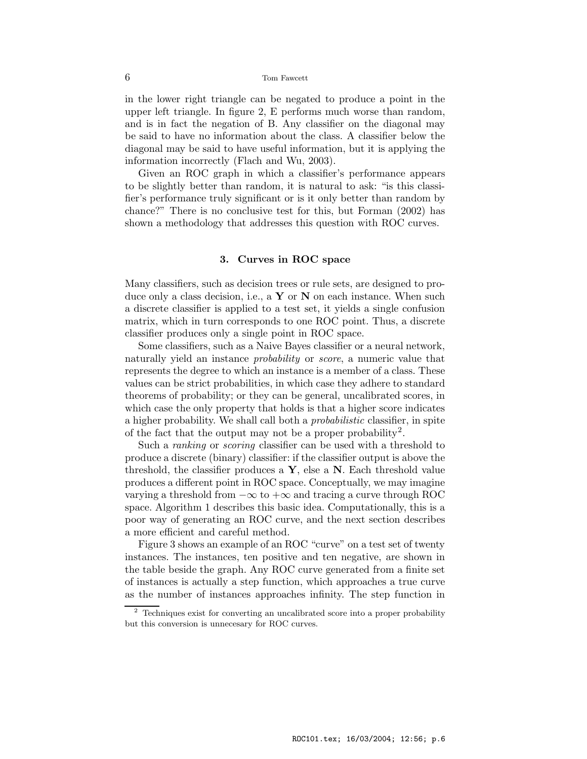in the lower right triangle can be negated to produce a point in the upper left triangle. In figure 2, E performs much worse than random, and is in fact the negation of B. Any classifier on the diagonal may be said to have no information about the class. A classifier below the diagonal may be said to have useful information, but it is applying the information incorrectly (Flach and Wu, 2003).

Given an ROC graph in which a classifier's performance appears to be slightly better than random, it is natural to ask: "is this classifier's performance truly significant or is it only better than random by chance?" There is no conclusive test for this, but Forman (2002) has shown a methodology that addresses this question with ROC curves.

#### 3. Curves in ROC space

Many classifiers, such as decision trees or rule sets, are designed to produce only a class decision, i.e., a  $Y$  or  $N$  on each instance. When such a discrete classifier is applied to a test set, it yields a single confusion matrix, which in turn corresponds to one ROC point. Thus, a discrete classifier produces only a single point in ROC space.

Some classifiers, such as a Naive Bayes classifier or a neural network, naturally yield an instance *probability* or *score*, a numeric value that represents the degree to which an instance is a member of a class. These values can be strict probabilities, in which case they adhere to standard theorems of probability; or they can be general, uncalibrated scores, in which case the only property that holds is that a higher score indicates a higher probability. We shall call both a probabilistic classifier, in spite of the fact that the output may not be a proper probability<sup>2</sup>.

Such a ranking or scoring classifier can be used with a threshold to produce a discrete (binary) classifier: if the classifier output is above the threshold, the classifier produces a  $Y$ , else a  $N$ . Each threshold value produces a different point in ROC space. Conceptually, we may imagine varying a threshold from  $-\infty$  to  $+\infty$  and tracing a curve through ROC space. Algorithm 1 describes this basic idea. Computationally, this is a poor way of generating an ROC curve, and the next section describes a more efficient and careful method.

Figure 3 shows an example of an ROC "curve" on a test set of twenty instances. The instances, ten positive and ten negative, are shown in the table beside the graph. Any ROC curve generated from a finite set of instances is actually a step function, which approaches a true curve as the number of instances approaches infinity. The step function in

<sup>2</sup> Techniques exist for converting an uncalibrated score into a proper probability but this conversion is unnecesary for ROC curves.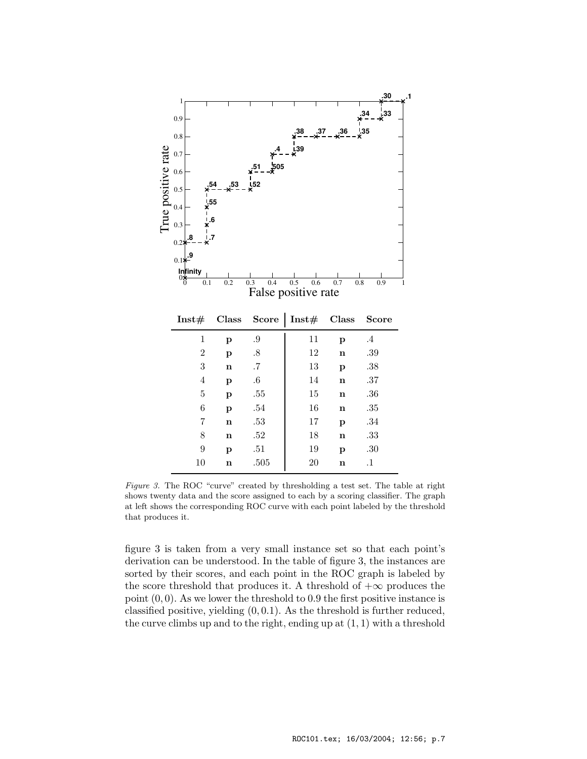

Figure 3. The ROC "curve" created by thresholding a test set. The table at right shows twenty data and the score assigned to each by a scoring classifier. The graph at left shows the corresponding ROC curve with each point labeled by the threshold that produces it.

figure 3 is taken from a very small instance set so that each point's derivation can be understood. In the table of figure 3, the instances are sorted by their scores, and each point in the ROC graph is labeled by the score threshold that produces it. A threshold of  $+\infty$  produces the point  $(0, 0)$ . As we lower the threshold to 0.9 the first positive instance is classified positive, yielding  $(0, 0.1)$ . As the threshold is further reduced, the curve climbs up and to the right, ending up at  $(1, 1)$  with a threshold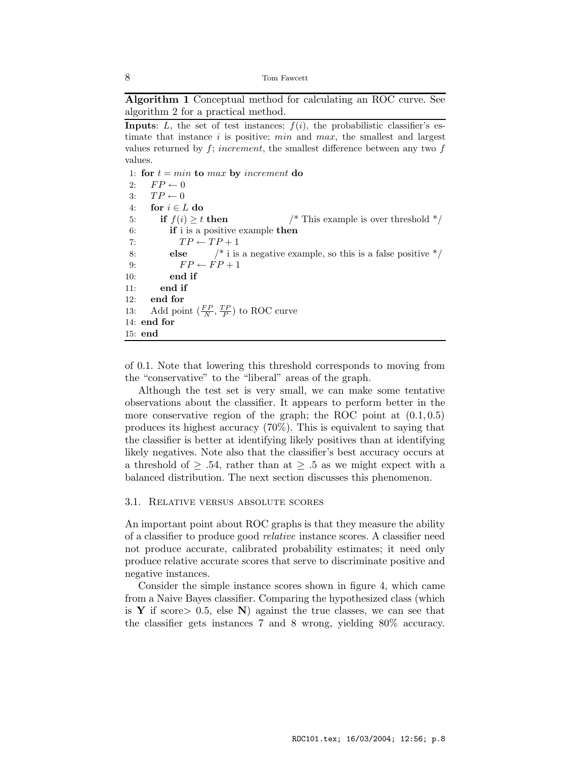Algorithm 1 Conceptual method for calculating an ROC curve. See algorithm 2 for a practical method.

**Inputs**: L, the set of test instances;  $f(i)$ , the probabilistic classifier's estimate that instance  $i$  is positive;  $min$  and  $max$ , the smallest and largest values returned by  $f$ ; increment, the smallest difference between any two  $f$ values.

1: for  $t = min$  to max by increment do 2:  $FP \leftarrow 0$ 3:  $TP \leftarrow 0$ 4: for  $i \in L$  do 5: if  $f(i) > t$  then /\* This example is over threshold \*/ 6: if i is a positive example then 7:  $TP \leftarrow TP + 1$ 8: else  $\frac{\text{else}}{\text{else}}$  /\* i is a negative example, so this is a false positive \*/ 9:  $FP \leftarrow FP + 1$ 10: end if 11: end if 12: end for 13: Add point  $(\frac{FP}{N}, \frac{TP}{P})$  to ROC curve 14: end for 15: end

of 0.1. Note that lowering this threshold corresponds to moving from the "conservative" to the "liberal" areas of the graph.

Although the test set is very small, we can make some tentative observations about the classifier. It appears to perform better in the more conservative region of the graph; the ROC point at  $(0.1, 0.5)$ produces its highest accuracy (70%). This is equivalent to saying that the classifier is better at identifying likely positives than at identifying likely negatives. Note also that the classifier's best accuracy occurs at a threshold of  $\geq$  .54, rather than at  $\geq$  .5 as we might expect with a balanced distribution. The next section discusses this phenomenon.

#### 3.1. Relative versus absolute scores

An important point about ROC graphs is that they measure the ability of a classifier to produce good relative instance scores. A classifier need not produce accurate, calibrated probability estimates; it need only produce relative accurate scores that serve to discriminate positive and negative instances.

Consider the simple instance scores shown in figure 4, which came from a Naive Bayes classifier. Comparing the hypothesized class (which is **Y** if score  $> 0.5$ , else **N**) against the true classes, we can see that the classifier gets instances 7 and 8 wrong, yielding 80% accuracy.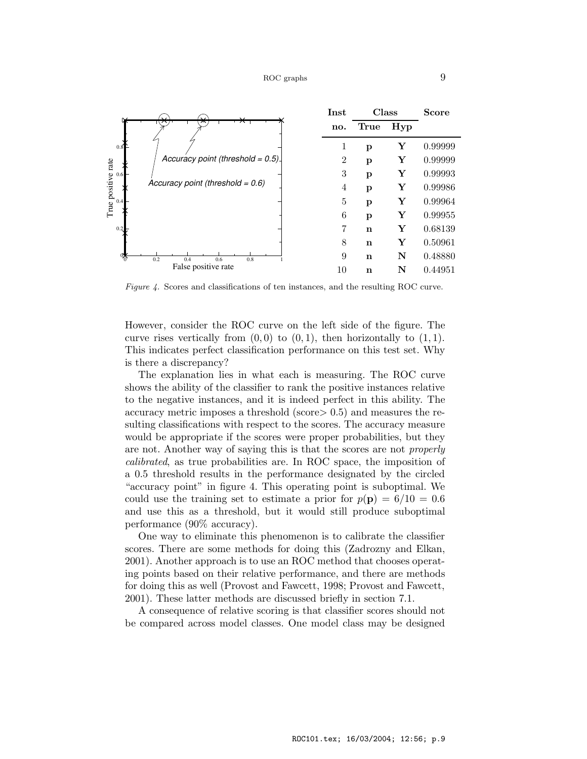

Figure 4. Scores and classifications of ten instances, and the resulting ROC curve.

However, consider the ROC curve on the left side of the figure. The curve rises vertically from  $(0, 0)$  to  $(0, 1)$ , then horizontally to  $(1, 1)$ . This indicates perfect classification performance on this test set. Why is there a discrepancy?

The explanation lies in what each is measuring. The ROC curve shows the ability of the classifier to rank the positive instances relative to the negative instances, and it is indeed perfect in this ability. The accuracy metric imposes a threshold (score  $> 0.5$ ) and measures the resulting classifications with respect to the scores. The accuracy measure would be appropriate if the scores were proper probabilities, but they are not. Another way of saying this is that the scores are not properly calibrated, as true probabilities are. In ROC space, the imposition of a 0.5 threshold results in the performance designated by the circled "accuracy point" in figure 4. This operating point is suboptimal. We could use the training set to estimate a prior for  $p(\mathbf{p}) = 6/10 = 0.6$ and use this as a threshold, but it would still produce suboptimal performance (90% accuracy).

One way to eliminate this phenomenon is to calibrate the classifier scores. There are some methods for doing this (Zadrozny and Elkan, 2001). Another approach is to use an ROC method that chooses operating points based on their relative performance, and there are methods for doing this as well (Provost and Fawcett, 1998; Provost and Fawcett, 2001). These latter methods are discussed briefly in section 7.1.

A consequence of relative scoring is that classifier scores should not be compared across model classes. One model class may be designed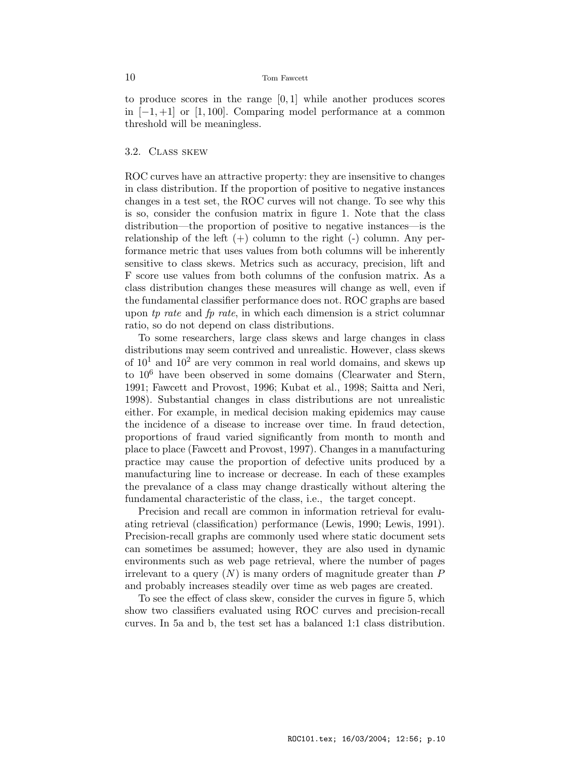to produce scores in the range [0, 1] while another produces scores in [−1, +1] or [1, 100]. Comparing model performance at a common threshold will be meaningless.

## 3.2. Class skew

ROC curves have an attractive property: they are insensitive to changes in class distribution. If the proportion of positive to negative instances changes in a test set, the ROC curves will not change. To see why this is so, consider the confusion matrix in figure 1. Note that the class distribution—the proportion of positive to negative instances—is the relationship of the left  $(+)$  column to the right  $(-)$  column. Any performance metric that uses values from both columns will be inherently sensitive to class skews. Metrics such as accuracy, precision, lift and F score use values from both columns of the confusion matrix. As a class distribution changes these measures will change as well, even if the fundamental classifier performance does not. ROC graphs are based upon tp rate and fp rate, in which each dimension is a strict columnar ratio, so do not depend on class distributions.

To some researchers, large class skews and large changes in class distributions may seem contrived and unrealistic. However, class skews of  $10<sup>1</sup>$  and  $10<sup>2</sup>$  are very common in real world domains, and skews up to  $10^6$  have been observed in some domains (Clearwater and Stern, 1991; Fawcett and Provost, 1996; Kubat et al., 1998; Saitta and Neri, 1998). Substantial changes in class distributions are not unrealistic either. For example, in medical decision making epidemics may cause the incidence of a disease to increase over time. In fraud detection, proportions of fraud varied significantly from month to month and place to place (Fawcett and Provost, 1997). Changes in a manufacturing practice may cause the proportion of defective units produced by a manufacturing line to increase or decrease. In each of these examples the prevalance of a class may change drastically without altering the fundamental characteristic of the class, i.e., the target concept.

Precision and recall are common in information retrieval for evaluating retrieval (classification) performance (Lewis, 1990; Lewis, 1991). Precision-recall graphs are commonly used where static document sets can sometimes be assumed; however, they are also used in dynamic environments such as web page retrieval, where the number of pages irrelevant to a query  $(N)$  is many orders of magnitude greater than P and probably increases steadily over time as web pages are created.

To see the effect of class skew, consider the curves in figure 5, which show two classifiers evaluated using ROC curves and precision-recall curves. In 5a and b, the test set has a balanced 1:1 class distribution.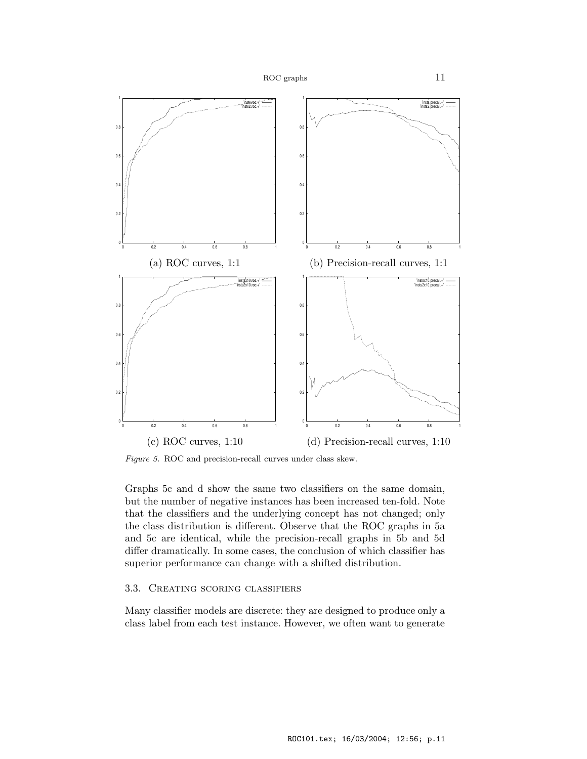

Figure 5. ROC and precision-recall curves under class skew.

Graphs 5c and d show the same two classifiers on the same domain, but the number of negative instances has been increased ten-fold. Note that the classifiers and the underlying concept has not changed; only the class distribution is different. Observe that the ROC graphs in 5a and 5c are identical, while the precision-recall graphs in 5b and 5d differ dramatically. In some cases, the conclusion of which classifier has superior performance can change with a shifted distribution.

## 3.3. Creating scoring classifiers

Many classifier models are discrete: they are designed to produce only a class label from each test instance. However, we often want to generate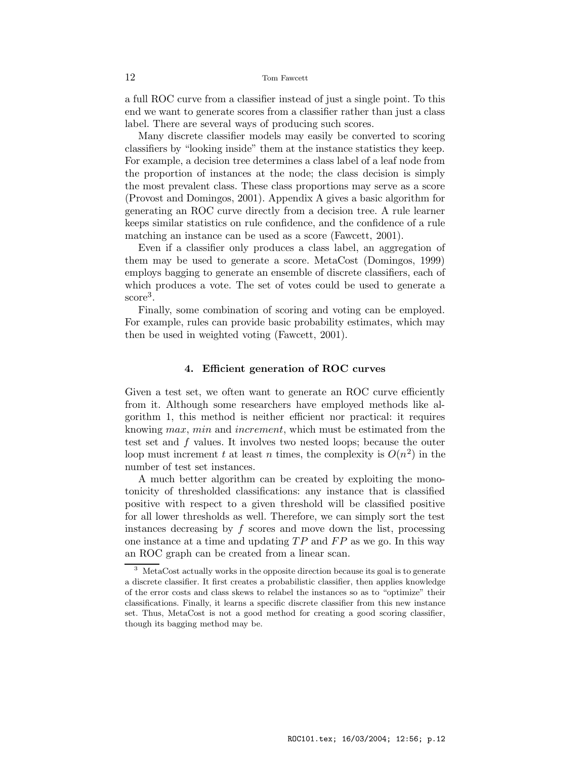a full ROC curve from a classifier instead of just a single point. To this end we want to generate scores from a classifier rather than just a class label. There are several ways of producing such scores.

Many discrete classifier models may easily be converted to scoring classifiers by "looking inside" them at the instance statistics they keep. For example, a decision tree determines a class label of a leaf node from the proportion of instances at the node; the class decision is simply the most prevalent class. These class proportions may serve as a score (Provost and Domingos, 2001). Appendix A gives a basic algorithm for generating an ROC curve directly from a decision tree. A rule learner keeps similar statistics on rule confidence, and the confidence of a rule matching an instance can be used as a score (Fawcett, 2001).

Even if a classifier only produces a class label, an aggregation of them may be used to generate a score. MetaCost (Domingos, 1999) employs bagging to generate an ensemble of discrete classifiers, each of which produces a vote. The set of votes could be used to generate a score<sup>3</sup> .

Finally, some combination of scoring and voting can be employed. For example, rules can provide basic probability estimates, which may then be used in weighted voting (Fawcett, 2001).

#### 4. Efficient generation of ROC curves

Given a test set, we often want to generate an ROC curve efficiently from it. Although some researchers have employed methods like algorithm 1, this method is neither efficient nor practical: it requires knowing *max*, *min* and *increment*, which must be estimated from the test set and f values. It involves two nested loops; because the outer loop must increment t at least n times, the complexity is  $O(n^2)$  in the number of test set instances.

A much better algorithm can be created by exploiting the monotonicity of thresholded classifications: any instance that is classified positive with respect to a given threshold will be classified positive for all lower thresholds as well. Therefore, we can simply sort the test instances decreasing by  $f$  scores and move down the list, processing one instance at a time and updating  $TP$  and  $FP$  as we go. In this way an ROC graph can be created from a linear scan.

<sup>3</sup> MetaCost actually works in the opposite direction because its goal is to generate a discrete classifier. It first creates a probabilistic classifier, then applies knowledge of the error costs and class skews to relabel the instances so as to "optimize" their classifications. Finally, it learns a specific discrete classifier from this new instance set. Thus, MetaCost is not a good method for creating a good scoring classifier, though its bagging method may be.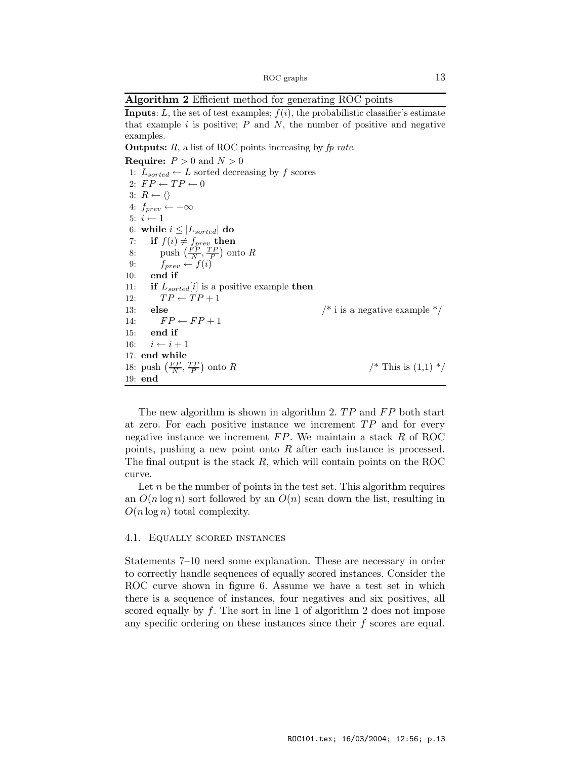Algorithm 2 Efficient method for generating ROC points

**Inputs**:  $L$ , the set of test examples;  $f(i)$ , the probabilistic classifier's estimate that example  $i$  is positive;  $P$  and  $N$ , the number of positive and negative examples.

**Outputs:**  $R$ , a list of ROC points increasing by  $fp$  rate.

**Require:**  $P > 0$  and  $N > 0$ 1:  $L_{sorted} \leftarrow L$  sorted decreasing by f scores 2:  $FP \leftarrow TP \leftarrow 0$ 3:  $R \leftarrow \langle \rangle$ 4:  $f_{prev} \leftarrow -\infty$ 5:  $i \leftarrow 1$ 6: while  $i \leq |L_{sorted}|$  do 7: if  $f(i) \neq f_{prev}$  then 8: push  $\left(\frac{FP}{N}, \frac{TP}{P}\right)$  onto R 9:  $f_{prev} \leftarrow f(i)$ 10: end if 11: if  $L_{sorted}[i]$  is a positive example then 12:  $TP \leftarrow TP + 1$ 13: **else** /\* i is a negative example  $*$ / 14:  $FP \leftarrow FP + 1$ 15: end if 16:  $i \leftarrow i + 1$ 17: end while 18: push  $\left(\frac{FP}{N}, \frac{TP}{P}\right)$ /\* This is  $(1,1)$  \*/ 19: end

The new algorithm is shown in algorithm 2. TP and FP both start at zero. For each positive instance we increment  $TP$  and for every negative instance we increment FP. We maintain a stack R of ROC points, pushing a new point onto R after each instance is processed. The final output is the stack  $R$ , which will contain points on the ROC curve.

Let  $n$  be the number of points in the test set. This algorithm requires an  $O(n \log n)$  sort followed by an  $O(n)$  scan down the list, resulting in  $O(n \log n)$  total complexity.

#### 4.1. Equally scored instances

Statements 7–10 need some explanation. These are necessary in order to correctly handle sequences of equally scored instances. Consider the ROC curve shown in figure 6. Assume we have a test set in which there is a sequence of instances, four negatives and six positives, all scored equally by  $f$ . The sort in line 1 of algorithm 2 does not impose any specific ordering on these instances since their f scores are equal.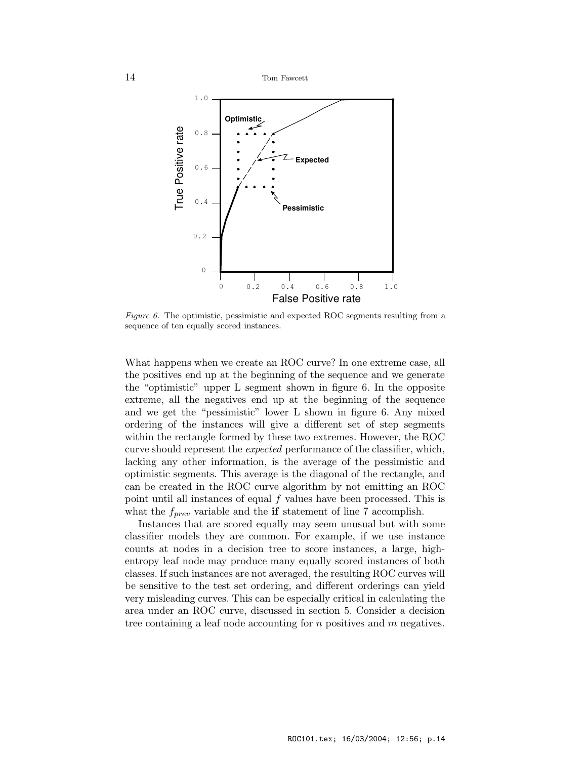14 Tom Fawcett



Figure 6. The optimistic, pessimistic and expected ROC segments resulting from a sequence of ten equally scored instances.

What happens when we create an ROC curve? In one extreme case, all the positives end up at the beginning of the sequence and we generate the "optimistic" upper L segment shown in figure 6. In the opposite extreme, all the negatives end up at the beginning of the sequence and we get the "pessimistic" lower L shown in figure 6. Any mixed ordering of the instances will give a different set of step segments within the rectangle formed by these two extremes. However, the ROC curve should represent the expected performance of the classifier, which, lacking any other information, is the average of the pessimistic and optimistic segments. This average is the diagonal of the rectangle, and can be created in the ROC curve algorithm by not emitting an ROC point until all instances of equal  $f$  values have been processed. This is what the  $f_{prev}$  variable and the if statement of line 7 accomplish.

Instances that are scored equally may seem unusual but with some classifier models they are common. For example, if we use instance counts at nodes in a decision tree to score instances, a large, highentropy leaf node may produce many equally scored instances of both classes. If such instances are not averaged, the resulting ROC curves will be sensitive to the test set ordering, and different orderings can yield very misleading curves. This can be especially critical in calculating the area under an ROC curve, discussed in section 5. Consider a decision tree containing a leaf node accounting for  $n$  positives and  $m$  negatives.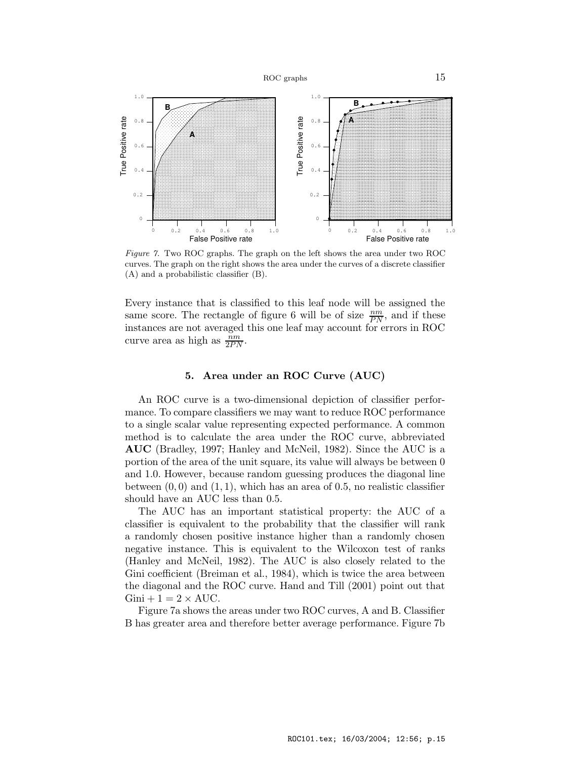



Figure 7. Two ROC graphs. The graph on the left shows the area under two ROC curves. The graph on the right shows the area under the curves of a discrete classifier (A) and a probabilistic classifier (B).

Every instance that is classified to this leaf node will be assigned the same score. The rectangle of figure 6 will be of size  $\frac{nm}{PN}$ , and if these instances are not averaged this one leaf may account for errors in ROC curve area as high as  $\frac{nm}{2PN}$ .

## 5. Area under an ROC Curve (AUC)

An ROC curve is a two-dimensional depiction of classifier performance. To compare classifiers we may want to reduce ROC performance to a single scalar value representing expected performance. A common method is to calculate the area under the ROC curve, abbreviated AUC (Bradley, 1997; Hanley and McNeil, 1982). Since the AUC is a portion of the area of the unit square, its value will always be between 0 and 1.0. However, because random guessing produces the diagonal line between  $(0, 0)$  and  $(1, 1)$ , which has an area of 0.5, no realistic classifier should have an AUC less than 0.5.

The AUC has an important statistical property: the AUC of a classifier is equivalent to the probability that the classifier will rank a randomly chosen positive instance higher than a randomly chosen negative instance. This is equivalent to the Wilcoxon test of ranks (Hanley and McNeil, 1982). The AUC is also closely related to the Gini coefficient (Breiman et al., 1984), which is twice the area between the diagonal and the ROC curve. Hand and Till (2001) point out that  $Gini + 1 = 2 \times AUC.$ 

Figure 7a shows the areas under two ROC curves, A and B. Classifier B has greater area and therefore better average performance. Figure 7b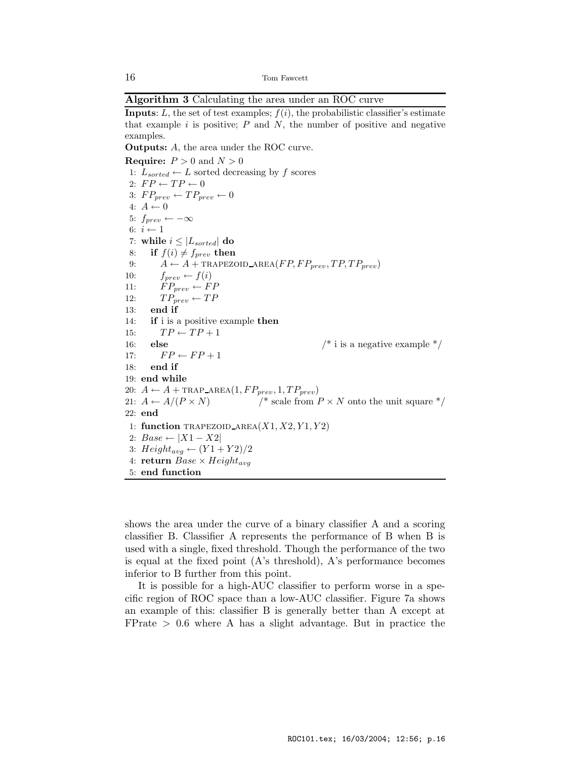Algorithm 3 Calculating the area under an ROC curve

**Inputs**:  $L$ , the set of test examples;  $f(i)$ , the probabilistic classifier's estimate that example  $i$  is positive;  $P$  and  $N$ , the number of positive and negative examples.

Outputs: A, the area under the ROC curve.

**Require:**  $P > 0$  and  $N > 0$ 1:  $L_{sorted} \leftarrow L$  sorted decreasing by f scores 2:  $FP \leftarrow TP \leftarrow 0$ 3:  $FP_{prev} \leftarrow TP_{prev} \leftarrow 0$ 4:  $A \leftarrow 0$ 5:  $f_{prev} \leftarrow -\infty$ 6:  $i \leftarrow 1$ 7: while  $i \leq |L_{sorted}|$  do 8: if  $f(i) \neq f_{prev}$  then 9:  $A \leftarrow A + \text{TRAPEZOLD\_AREA}(FP, FP_{prev}, TP, TP_{prev})$ 10:  $f_{prev} \leftarrow f(i)$ 11:  $\bar{F}P_{prev} \leftarrow FP$ 12:  $TP_{prev} \leftarrow TP$ 13: end if 14: if i is a positive example then 15:  $TP \leftarrow TP + 1$ 16: **else** /\* i is a negative example  $*$ / 17:  $FP \leftarrow FP + 1$ 18: end if 19: end while 20:  $A \leftarrow A + \text{TRAP} \text{-} \text{AREA}(1, FP_{prev}, 1, TP_{prev})$ 21:  $A \leftarrow A/(P \times N)$  /\* scale from  $P \times N$  onto the unit square \*/ 22: end 1: function TRAPEZOID\_AREA $(X1, X2, Y1, Y2)$ 2:  $Base \leftarrow |X1 - X2|$ 3:  $Height_{avg} \leftarrow (Y1 + Y2)/2$ 4: return  $Base \times Height_{avg}$ 5: end function

shows the area under the curve of a binary classifier A and a scoring classifier B. Classifier A represents the performance of B when B is used with a single, fixed threshold. Though the performance of the two is equal at the fixed point (A's threshold), A's performance becomes inferior to B further from this point.

It is possible for a high-AUC classifier to perform worse in a specific region of ROC space than a low-AUC classifier. Figure 7a shows an example of this: classifier B is generally better than A except at FPrate > 0.6 where A has a slight advantage. But in practice the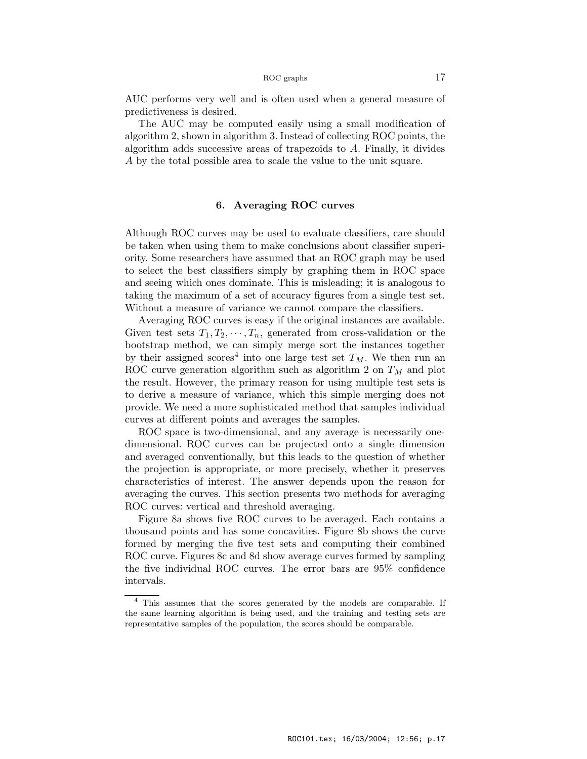#### ROC graphs  $17$

AUC performs very well and is often used when a general measure of predictiveness is desired.

The AUC may be computed easily using a small modification of algorithm 2, shown in algorithm 3. Instead of collecting ROC points, the algorithm adds successive areas of trapezoids to A. Finally, it divides A by the total possible area to scale the value to the unit square.

## 6. Averaging ROC curves

Although ROC curves may be used to evaluate classifiers, care should be taken when using them to make conclusions about classifier superiority. Some researchers have assumed that an ROC graph may be used to select the best classifiers simply by graphing them in ROC space and seeing which ones dominate. This is misleading; it is analogous to taking the maximum of a set of accuracy figures from a single test set. Without a measure of variance we cannot compare the classifiers.

Averaging ROC curves is easy if the original instances are available. Given test sets  $T_1, T_2, \dots, T_n$ , generated from cross-validation or the bootstrap method, we can simply merge sort the instances together by their assigned scores<sup>4</sup> into one large test set  $T_M$ . We then run an ROC curve generation algorithm such as algorithm 2 on  $T_M$  and plot the result. However, the primary reason for using multiple test sets is to derive a measure of variance, which this simple merging does not provide. We need a more sophisticated method that samples individual curves at different points and averages the samples.

ROC space is two-dimensional, and any average is necessarily onedimensional. ROC curves can be projected onto a single dimension and averaged conventionally, but this leads to the question of whether the projection is appropriate, or more precisely, whether it preserves characteristics of interest. The answer depends upon the reason for averaging the curves. This section presents two methods for averaging ROC curves: vertical and threshold averaging.

Figure 8a shows five ROC curves to be averaged. Each contains a thousand points and has some concavities. Figure 8b shows the curve formed by merging the five test sets and computing their combined ROC curve. Figures 8c and 8d show average curves formed by sampling the five individual ROC curves. The error bars are 95% confidence intervals.

<sup>4</sup> This assumes that the scores generated by the models are comparable. If the same learning algorithm is being used, and the training and testing sets are representative samples of the population, the scores should be comparable.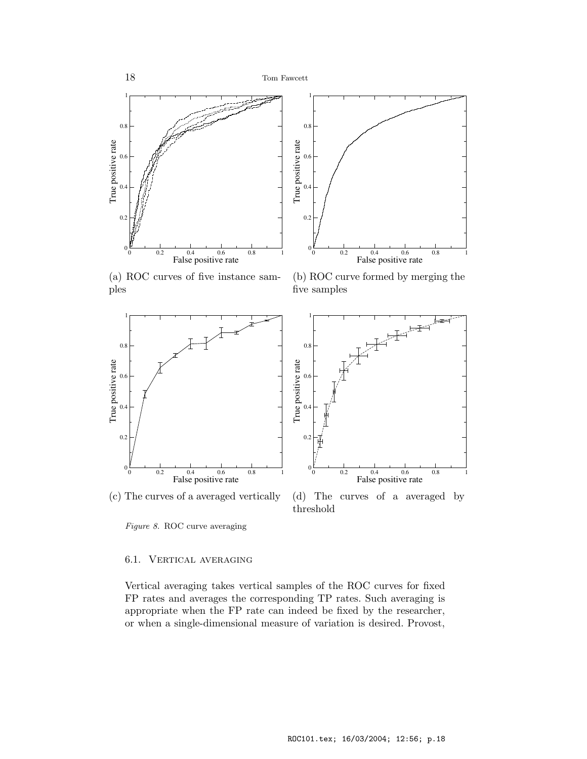





(a) ROC curves of five instance samples

(b) ROC curve formed by merging the five samples





(c) The curves of a averaged vertically (d) The curves of a averaged by threshold

## 6.1. VERTICAL AVERAGING

Vertical averaging takes vertical samples of the ROC curves for fixed FP rates and averages the corresponding TP rates. Such averaging is appropriate when the FP rate can indeed be fixed by the researcher, or when a single-dimensional measure of variation is desired. Provost,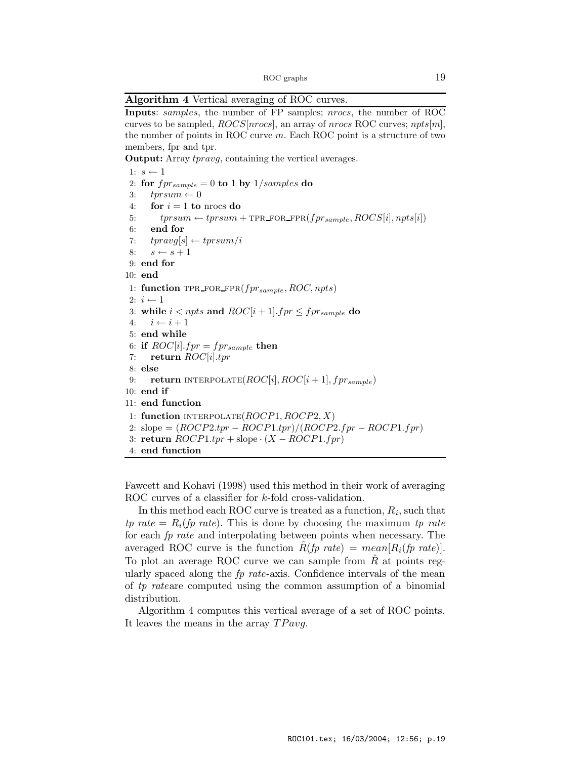| ROC graphs | 19 |
|------------|----|
|------------|----|

Algorithm 4 Vertical averaging of ROC curves.

Inputs: samples, the number of FP samples; nrocs, the number of ROC curves to be sampled,  $ROCS[nrocs]$ , an array of nrocs ROC curves; npts[m], the number of points in ROC curve  $m$ . Each ROC point is a structure of two members, fpr and tpr.

**Output:** Array *tpravg*, containing the vertical averages.

1:  $s \leftarrow 1$ 2: for  $fpr_{sample} = 0$  to 1 by  $1/samples$  do 3:  $tprsum \leftarrow 0$ 4: for  $i = 1$  to nrocs do 5:  $tprsum \leftarrow trrsum + TPR\_FOR\_FPR(fpr_{sample}, ROCS[i], npts[i])$ 6: end for 7:  $trpravg[s] \leftarrow trrsum/i$ 8:  $s \leftarrow s + 1$ 9: end for 10: end 1: function TPR\_FOR\_FPR $(fpr_{sample}, ROC, npts)$ 2:  $i \leftarrow 1$ 3: while  $i < npts$  and  $ROC[i+1].fp \leq fpr_{sample}$  do 4:  $i \leftarrow i + 1$ 5: end while 6: if  $ROC[i].$   $fpr = fpr_{sample}$  then 7: return  $ROC[i].tpr$ 8: else 9: return INTERPOLATE $(ROC[i], ROC[i+1], fpr_{sample})$ 10: end if 11: end function 1: function INTERPOLATE( $ROCP1, ROCP2, X$ ) 2: slope =  $(ROCP2.tpr - ROCP1.tpr)/(ROCP2.fpr - ROCP1.fpr)$ 3: return  $ROCP1.$ tpr + slope ·  $(X - ROCP1.$ fpr $)$ 4: end function

Fawcett and Kohavi (1998) used this method in their work of averaging ROC curves of a classifier for k-fold cross-validation.

In this method each ROC curve is treated as a function,  $R_i$ , such that  $tp$  rate =  $R_i$  (fp rate). This is done by choosing the maximum tp rate for each *fp rate* and interpolating between points when necessary. The averaged ROC curve is the function  $R(fp \ rate) = mean[R_i(fp \ rate)].$ To plot an average ROC curve we can sample from  $R$  at points regularly spaced along the fp rate-axis. Confidence intervals of the mean of tp rateare computed using the common assumption of a binomial distribution.

Algorithm 4 computes this vertical average of a set of ROC points. It leaves the means in the array TPavg.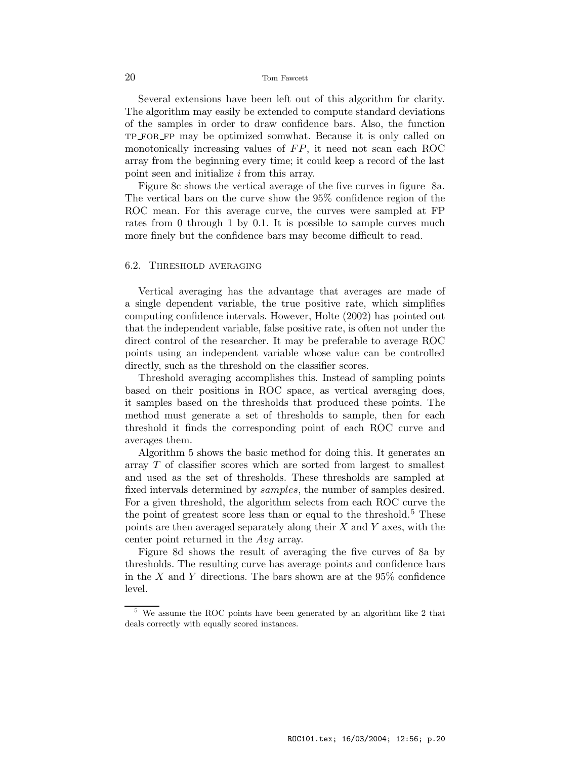Several extensions have been left out of this algorithm for clarity. The algorithm may easily be extended to compute standard deviations of the samples in order to draw confidence bars. Also, the function tp for fp may be optimized somwhat. Because it is only called on monotonically increasing values of  $FP$ , it need not scan each ROC array from the beginning every time; it could keep a record of the last point seen and initialize i from this array.

Figure 8c shows the vertical average of the five curves in figure 8a. The vertical bars on the curve show the 95% confidence region of the ROC mean. For this average curve, the curves were sampled at FP rates from 0 through 1 by 0.1. It is possible to sample curves much more finely but the confidence bars may become difficult to read.

#### 6.2. Threshold averaging

Vertical averaging has the advantage that averages are made of a single dependent variable, the true positive rate, which simplifies computing confidence intervals. However, Holte (2002) has pointed out that the independent variable, false positive rate, is often not under the direct control of the researcher. It may be preferable to average ROC points using an independent variable whose value can be controlled directly, such as the threshold on the classifier scores.

Threshold averaging accomplishes this. Instead of sampling points based on their positions in ROC space, as vertical averaging does, it samples based on the thresholds that produced these points. The method must generate a set of thresholds to sample, then for each threshold it finds the corresponding point of each ROC curve and averages them.

Algorithm 5 shows the basic method for doing this. It generates an array T of classifier scores which are sorted from largest to smallest and used as the set of thresholds. These thresholds are sampled at fixed intervals determined by *samples*, the number of samples desired. For a given threshold, the algorithm selects from each ROC curve the the point of greatest score less than or equal to the threshold.<sup>5</sup> These points are then averaged separately along their  $X$  and  $Y$  axes, with the center point returned in the Avg array.

Figure 8d shows the result of averaging the five curves of 8a by thresholds. The resulting curve has average points and confidence bars in the  $X$  and  $Y$  directions. The bars shown are at the 95% confidence level.

We assume the ROC points have been generated by an algorithm like 2 that deals correctly with equally scored instances.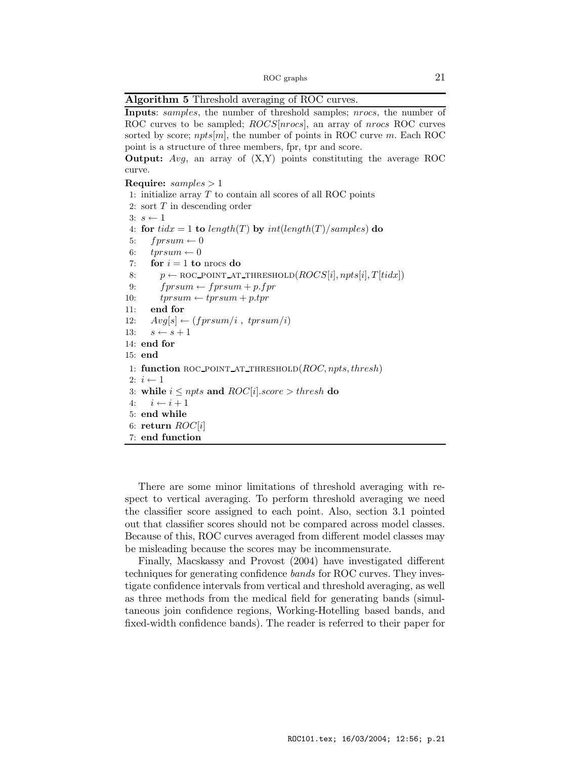| ROC graphs | 21 |
|------------|----|
|------------|----|

Algorithm 5 Threshold averaging of ROC curves.

Inputs: samples, the number of threshold samples; nrocs, the number of ROC curves to be sampled;  $ROCS[nrocs]$ , an array of nrocs ROC curves sorted by score;  $npts[m]$ , the number of points in ROC curve m. Each ROC point is a structure of three members, fpr, tpr and score. **Output:**  $Avg$ , an array of  $(X,Y)$  points constituting the average ROC curve. Require:  $samples > 1$ 1: initialize array  $T$  to contain all scores of all ROC points 2: sort  $T$  in descending order 3:  $s \leftarrow 1$ 4: for tidx = 1 to length(T) by  $int(length(T)/samples)$  do 5:  $fprsum \leftarrow 0$ 6:  $tprsum \leftarrow 0$ 7: for  $i = 1$  to nrocs do 8:  $p \leftarrow \text{ROC\_PONT\_AT\_THRESHOLD}(ROCS[i], npts[i], T[tidx])$ 9:  $fprsum \leftarrow fprsum + p.fpr$ 10:  $tprsum \leftarrow trrsum + p. tpr$ 11: end for 12:  $Avg[s] \leftarrow (fprsum/i, trrsum/i)$ 13:  $s \leftarrow s + 1$ 14: end for 15: end 1: function ROC\_POINT\_AT\_THRESHOLD $(ROC, npts, thresh)$  $2: i \leftarrow 1$ 3: while  $i \leq npts$  and  $ROC[i].score > thresh$  do 4:  $i \leftarrow i + 1$ 5: end while 6: return  $ROC[i]$ 7: end function

There are some minor limitations of threshold averaging with respect to vertical averaging. To perform threshold averaging we need the classifier score assigned to each point. Also, section 3.1 pointed out that classifier scores should not be compared across model classes. Because of this, ROC curves averaged from different model classes may be misleading because the scores may be incommensurate.

Finally, Macskassy and Provost (2004) have investigated different techniques for generating confidence bands for ROC curves. They investigate confidence intervals from vertical and threshold averaging, as well as three methods from the medical field for generating bands (simultaneous join confidence regions, Working-Hotelling based bands, and fixed-width confidence bands). The reader is referred to their paper for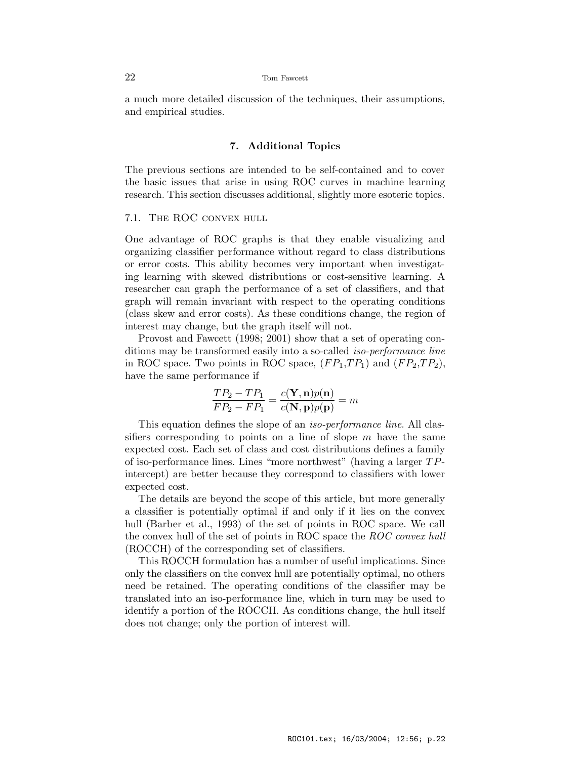a much more detailed discussion of the techniques, their assumptions, and empirical studies.

#### 7. Additional Topics

The previous sections are intended to be self-contained and to cover the basic issues that arise in using ROC curves in machine learning research. This section discusses additional, slightly more esoteric topics.

## 7.1. The ROC convex hull

One advantage of ROC graphs is that they enable visualizing and organizing classifier performance without regard to class distributions or error costs. This ability becomes very important when investigating learning with skewed distributions or cost-sensitive learning. A researcher can graph the performance of a set of classifiers, and that graph will remain invariant with respect to the operating conditions (class skew and error costs). As these conditions change, the region of interest may change, but the graph itself will not.

Provost and Fawcett (1998; 2001) show that a set of operating conditions may be transformed easily into a so-called iso-performance line in ROC space. Two points in ROC space,  $(FP_1,TP_1)$  and  $(FP_2,TP_2)$ , have the same performance if

$$
\frac{TP_2 - TP_1}{FP_2 - FP_1} = \frac{c(\mathbf{Y}, \mathbf{n})p(\mathbf{n})}{c(\mathbf{N}, \mathbf{p})p(\mathbf{p})} = m
$$

This equation defines the slope of an *iso-performance line*. All classifiers corresponding to points on a line of slope  $m$  have the same expected cost. Each set of class and cost distributions defines a family of iso-performance lines. Lines "more northwest" (having a larger  $TP$ intercept) are better because they correspond to classifiers with lower expected cost.

The details are beyond the scope of this article, but more generally a classifier is potentially optimal if and only if it lies on the convex hull (Barber et al., 1993) of the set of points in ROC space. We call the convex hull of the set of points in ROC space the ROC convex hull (ROCCH) of the corresponding set of classifiers.

This ROCCH formulation has a number of useful implications. Since only the classifiers on the convex hull are potentially optimal, no others need be retained. The operating conditions of the classifier may be translated into an iso-performance line, which in turn may be used to identify a portion of the ROCCH. As conditions change, the hull itself does not change; only the portion of interest will.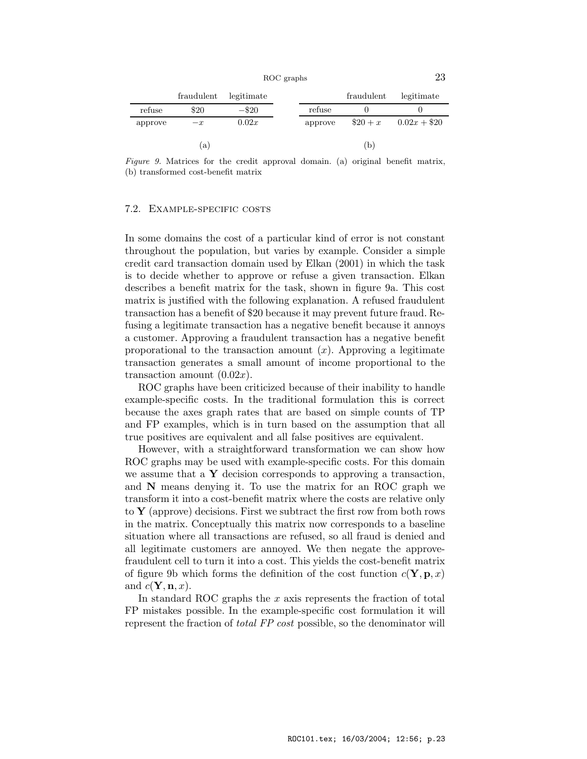| ROC graphs | 23 |
|------------|----|
|------------|----|

|         | fraudulent | legitimate |         | fraudulent | legitimate    |
|---------|------------|------------|---------|------------|---------------|
| refuse  | \$20       | $-\$20$    | refuse  |            |               |
| approve | $-x$       | 0.02x      | approve | $\$20 + x$ | $0.02x + $20$ |
|         | (a)        |            |         | (b)        |               |

Figure 9. Matrices for the credit approval domain. (a) original benefit matrix, (b) transformed cost-benefit matrix

#### 7.2. Example-specific costs

In some domains the cost of a particular kind of error is not constant throughout the population, but varies by example. Consider a simple credit card transaction domain used by Elkan (2001) in which the task is to decide whether to approve or refuse a given transaction. Elkan describes a benefit matrix for the task, shown in figure 9a. This cost matrix is justified with the following explanation. A refused fraudulent transaction has a benefit of \$20 because it may prevent future fraud. Refusing a legitimate transaction has a negative benefit because it annoys a customer. Approving a fraudulent transaction has a negative benefit proporational to the transaction amount  $(x)$ . Approving a legitimate transaction generates a small amount of income proportional to the transaction amount  $(0.02x)$ .

ROC graphs have been criticized because of their inability to handle example-specific costs. In the traditional formulation this is correct because the axes graph rates that are based on simple counts of TP and FP examples, which is in turn based on the assumption that all true positives are equivalent and all false positives are equivalent.

However, with a straightforward transformation we can show how ROC graphs may be used with example-specific costs. For this domain we assume that a  $\bf{Y}$  decision corresponds to approving a transaction, and N means denying it. To use the matrix for an ROC graph we transform it into a cost-benefit matrix where the costs are relative only to  $\bf{Y}$  (approve) decisions. First we subtract the first row from both rows in the matrix. Conceptually this matrix now corresponds to a baseline situation where all transactions are refused, so all fraud is denied and all legitimate customers are annoyed. We then negate the approvefraudulent cell to turn it into a cost. This yields the cost-benefit matrix of figure 9b which forms the definition of the cost function  $c(\mathbf{Y}, \mathbf{p}, x)$ and  $c(Y, n, x)$ .

In standard ROC graphs the  $x$  axis represents the fraction of total FP mistakes possible. In the example-specific cost formulation it will represent the fraction of *total FP cost* possible, so the denominator will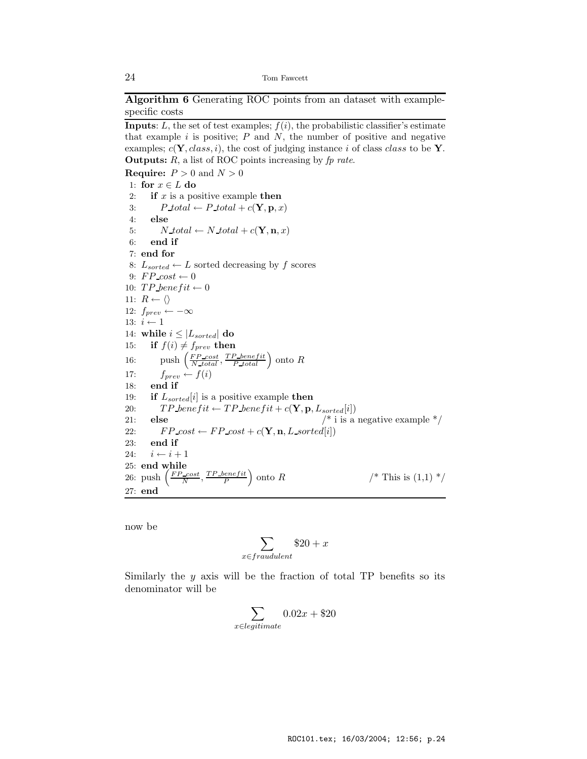Algorithm 6 Generating ROC points from an dataset with examplespecific costs

**Inputs:**  $L$ , the set of test examples;  $f(i)$ , the probabilistic classifier's estimate that example  $i$  is positive;  $P$  and  $N$ , the number of positive and negative examples;  $c(Y, class, i)$ , the cost of judging instance i of class class to be Y. **Outputs:**  $R$ , a list of ROC points increasing by  $fp$  rate.

**Require:**  $P > 0$  and  $N > 0$ 1: for  $x \in L$  do 2: if  $x$  is a positive example then 3:  $P\_total \leftarrow P\_total + c(\mathbf{Y}, \mathbf{p}, x)$ 4: else 5:  $N\_total \leftarrow N\_total + c(Y, n, x)$ 6: end if 7: end for 8:  $L_{sorted} \leftarrow L$  sorted decreasing by f scores 9:  $FP\_cost \leftarrow 0$ 10:  $TP\text{ }benefit \leftarrow 0$ 11:  $R \leftarrow \langle \rangle$ 12:  $f_{prev} \leftarrow -\infty$ 13:  $i \leftarrow 1$ 14: while  $i \leq |L_{sorted}|$  do 15: if  $f(i) \neq f_{prev}$  then 16: push  $\left(\frac{FP\_cost}{N\_total}, \frac{TP\_benefit}{P\_total}\right)$  onto R 17:  $f_{prev} \leftarrow f(i)$ 18: end if 19: **if**  $L_{sorted}[i]$  is a positive example **then** 20: TP benefit  $\leftarrow TP$  benefit +  $c(Y, p, L_{sorted}[i])$ 21: **else** /\* i is a negative example  $\frac{*}{ }$ 22:  $FP\_cost \leftarrow FP\_cost + c(\mathbf{Y}, \mathbf{n}, L\_sorted[i])$ 23: end if 24:  $i \leftarrow i + 1$ 25: end while 26: push  $\left(\frac{FP\_cost}{N}, \frac{TP\_benefit}{P}\right)$ /\* This is  $(1,1)$  \*/ 27: end

now be

$$
\sum_{x \in \text{fraudulent}} \$20 + x
$$

Similarly the  $y$  axis will be the fraction of total TP benefits so its denominator will be

$$
\sum_{x \in legitimate} 0.02x + \$20
$$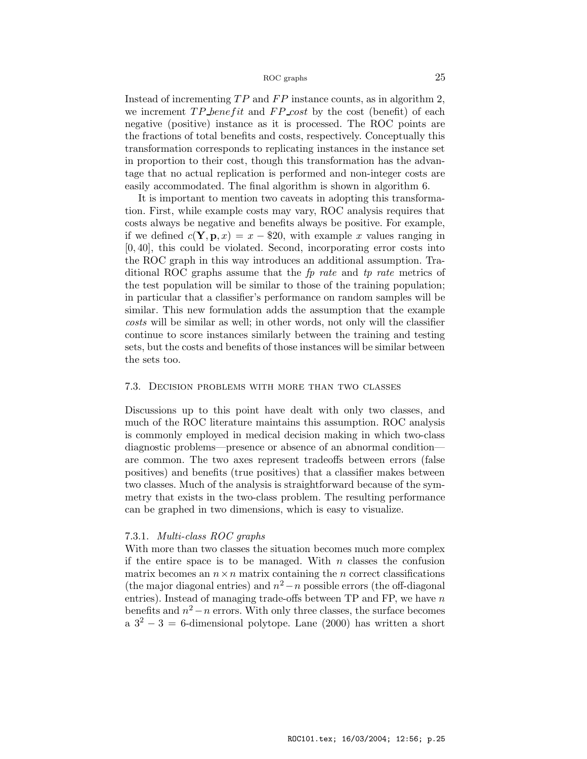#### ROC graphs 25

Instead of incrementing  $TP$  and  $FP$  instance counts, as in algorithm 2, we increment  $TP\text{-}benefit$  and  $FP\text{-}cost$  by the cost (benefit) of each negative (positive) instance as it is processed. The ROC points are the fractions of total benefits and costs, respectively. Conceptually this transformation corresponds to replicating instances in the instance set in proportion to their cost, though this transformation has the advantage that no actual replication is performed and non-integer costs are easily accommodated. The final algorithm is shown in algorithm 6.

It is important to mention two caveats in adopting this transformation. First, while example costs may vary, ROC analysis requires that costs always be negative and benefits always be positive. For example, if we defined  $c(Y, \mathbf{p}, x) = x - $20$ , with example x values ranging in [0, 40], this could be violated. Second, incorporating error costs into the ROC graph in this way introduces an additional assumption. Traditional ROC graphs assume that the fp rate and tp rate metrics of the test population will be similar to those of the training population; in particular that a classifier's performance on random samples will be similar. This new formulation adds the assumption that the example costs will be similar as well; in other words, not only will the classifier continue to score instances similarly between the training and testing sets, but the costs and benefits of those instances will be similar between the sets too.

#### 7.3. Decision problems with more than two classes

Discussions up to this point have dealt with only two classes, and much of the ROC literature maintains this assumption. ROC analysis is commonly employed in medical decision making in which two-class diagnostic problems—presence or absence of an abnormal condition are common. The two axes represent tradeoffs between errors (false positives) and benefits (true positives) that a classifier makes between two classes. Much of the analysis is straightforward because of the symmetry that exists in the two-class problem. The resulting performance can be graphed in two dimensions, which is easy to visualize.

## 7.3.1. Multi-class ROC graphs

With more than two classes the situation becomes much more complex if the entire space is to be managed. With n classes the confusion matrix becomes an  $n \times n$  matrix containing the n correct classifications (the major diagonal entries) and  $n^2 - n$  possible errors (the off-diagonal entries). Instead of managing trade-offs between  $TP$  and  $FP$ , we have  $n$ benefits and  $n^2 - n$  errors. With only three classes, the surface becomes  $a \ 3^2 - 3 = 6$ -dimensional polytope. Lane (2000) has written a short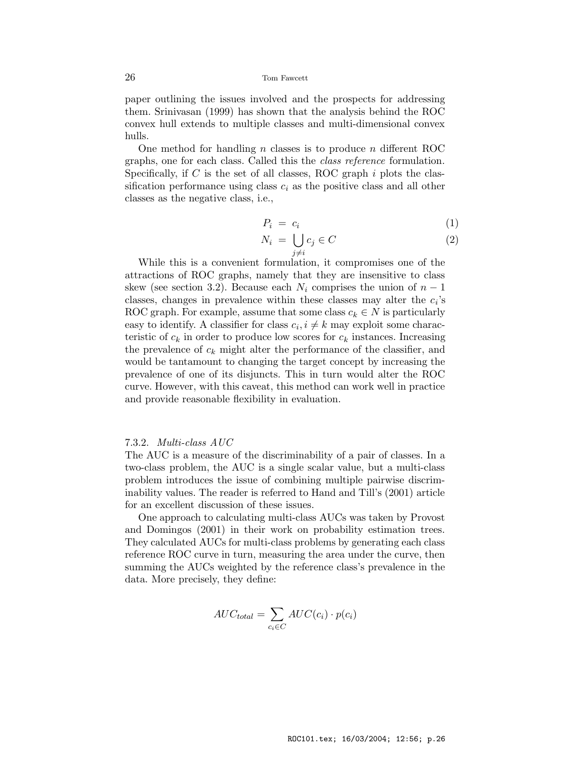paper outlining the issues involved and the prospects for addressing them. Srinivasan (1999) has shown that the analysis behind the ROC convex hull extends to multiple classes and multi-dimensional convex hulls.

One method for handling *n* classes is to produce *n* different ROC graphs, one for each class. Called this the class reference formulation. Specifically, if C is the set of all classes, ROC graph  $i$  plots the classification performance using class  $c_i$  as the positive class and all other classes as the negative class, i.e.,

$$
P_i = c_i \tag{1}
$$

$$
N_i = \bigcup_{j \neq i} c_j \in C \tag{2}
$$

While this is a convenient formulation, it compromises one of the attractions of ROC graphs, namely that they are insensitive to class skew (see section 3.2). Because each  $N_i$  comprises the union of  $n-1$ classes, changes in prevalence within these classes may alter the  $c_i$ 's ROC graph. For example, assume that some class  $c_k \in N$  is particularly easy to identify. A classifier for class  $c_i, i \neq k$  may exploit some characteristic of  $c_k$  in order to produce low scores for  $c_k$  instances. Increasing the prevalence of  $c_k$  might alter the performance of the classifier, and would be tantamount to changing the target concept by increasing the prevalence of one of its disjuncts. This in turn would alter the ROC curve. However, with this caveat, this method can work well in practice and provide reasonable flexibility in evaluation.

#### 7.3.2. Multi-class AUC

The AUC is a measure of the discriminability of a pair of classes. In a two-class problem, the AUC is a single scalar value, but a multi-class problem introduces the issue of combining multiple pairwise discriminability values. The reader is referred to Hand and Till's (2001) article for an excellent discussion of these issues.

One approach to calculating multi-class AUCs was taken by Provost and Domingos (2001) in their work on probability estimation trees. They calculated AUCs for multi-class problems by generating each class reference ROC curve in turn, measuring the area under the curve, then summing the AUCs weighted by the reference class's prevalence in the data. More precisely, they define:

$$
AUC_{total} = \sum_{c_i \in C} AUC(c_i) \cdot p(c_i)
$$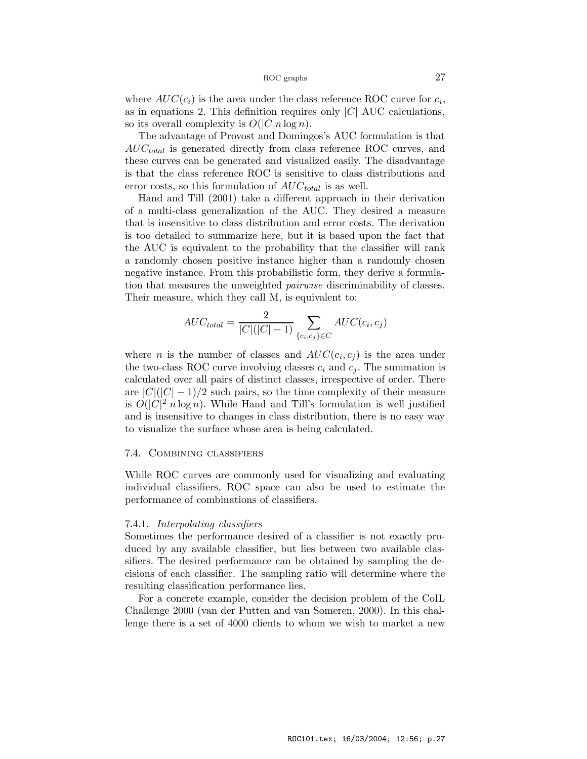where  $AUC(c_i)$  is the area under the class reference ROC curve for  $c_i$ , as in equations 2. This definition requires only  $|C|$  AUC calculations, so its overall complexity is  $O(|C|n \log n)$ .

The advantage of Provost and Domingos's AUC formulation is that  $AUC_{total}$  is generated directly from class reference ROC curves, and these curves can be generated and visualized easily. The disadvantage is that the class reference ROC is sensitive to class distributions and error costs, so this formulation of  $AUC_{total}$  is as well.

Hand and Till (2001) take a different approach in their derivation of a multi-class generalization of the AUC. They desired a measure that is insensitive to class distribution and error costs. The derivation is too detailed to summarize here, but it is based upon the fact that the AUC is equivalent to the probability that the classifier will rank a randomly chosen positive instance higher than a randomly chosen negative instance. From this probabilistic form, they derive a formulation that measures the unweighted *pairwise* discriminability of classes. Their measure, which they call M, is equivalent to:

$$
AUC_{total} = \frac{2}{|C|(|C|-1)} \sum_{\{c_i, c_j\} \in C} AUC(c_i, c_j)
$$

where *n* is the number of classes and  $AUC(c_i, c_j)$  is the area under the two-class ROC curve involving classes  $c_i$  and  $c_j$ . The summation is calculated over all pairs of distinct classes, irrespective of order. There are  $|C|(|C|-1)/2$  such pairs, so the time complexity of their measure is  $O(|C|^2 n \log n)$ . While Hand and Till's formulation is well justified and is insensitive to changes in class distribution, there is no easy way to visualize the surface whose area is being calculated.

## 7.4. Combining classifiers

While ROC curves are commonly used for visualizing and evaluating individual classifiers, ROC space can also be used to estimate the performance of combinations of classifiers.

#### 7.4.1. Interpolating classifiers

Sometimes the performance desired of a classifier is not exactly produced by any available classifier, but lies between two available classifiers. The desired performance can be obtained by sampling the decisions of each classifier. The sampling ratio will determine where the resulting classification performance lies.

For a concrete example, consider the decision problem of the CoIL Challenge 2000 (van der Putten and van Someren, 2000). In this challenge there is a set of 4000 clients to whom we wish to market a new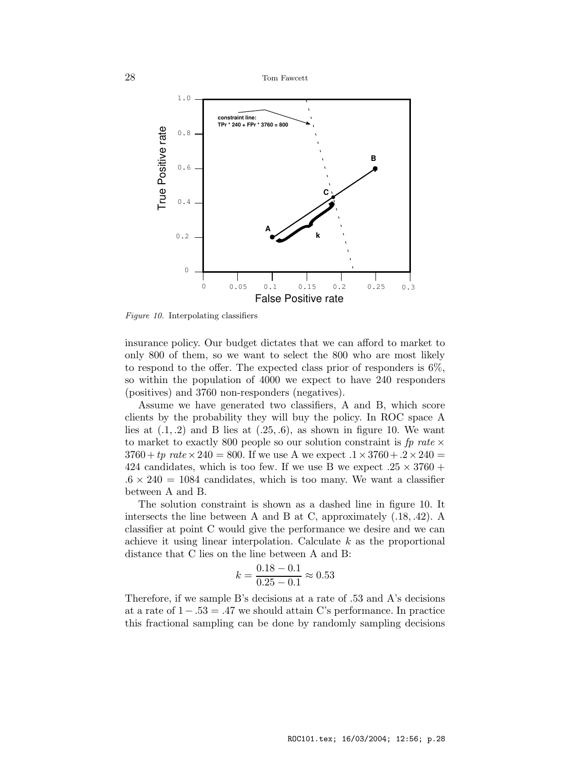

Figure 10. Interpolating classifiers

insurance policy. Our budget dictates that we can afford to market to only 800 of them, so we want to select the 800 who are most likely to respond to the offer. The expected class prior of responders is 6%, so within the population of 4000 we expect to have 240 responders (positives) and 3760 non-responders (negatives).

Assume we have generated two classifiers, A and B, which score clients by the probability they will buy the policy. In ROC space A lies at  $(0.1, 0.2)$  and B lies at  $(0.25, 0.6)$ , as shown in figure 10. We want to market to exactly 800 people so our solution constraint is  $fp$  rate  $\times$  $3760+tp$  rate  $\times 240 = 800$ . If we use A we expect  $.1 \times 3760 + .2 \times 240 =$ 424 candidates, which is too few. If we use B we expect  $.25 \times 3760 +$  $.6 \times 240 = 1084$  candidates, which is too many. We want a classifier between A and B.

The solution constraint is shown as a dashed line in figure 10. It intersects the line between A and B at C, approximately (.18, .42). A classifier at point C would give the performance we desire and we can achieve it using linear interpolation. Calculate k as the proportional distance that C lies on the line between A and B:

$$
k = \frac{0.18 - 0.1}{0.25 - 0.1} \approx 0.53
$$

Therefore, if we sample B's decisions at a rate of .53 and A's decisions at a rate of  $1-.53 = .47$  we should attain C's performance. In practice this fractional sampling can be done by randomly sampling decisions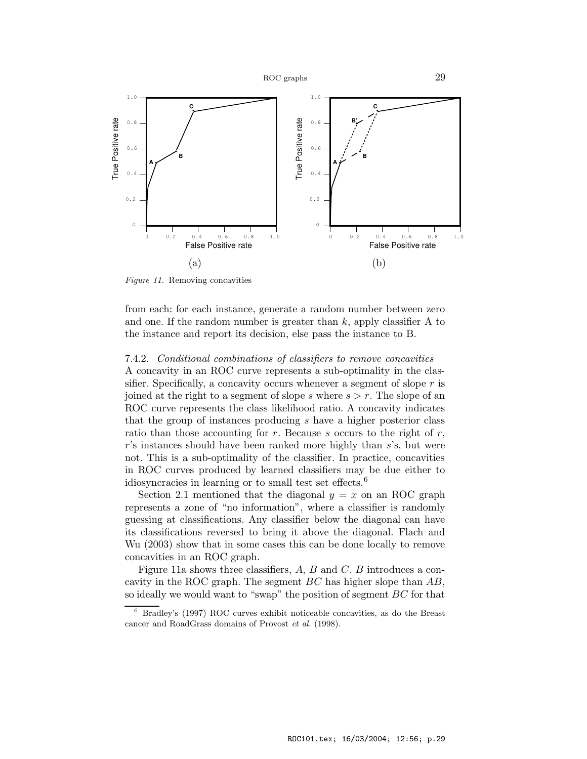ROC graphs 29



Figure 11. Removing concavities

from each: for each instance, generate a random number between zero and one. If the random number is greater than  $k$ , apply classifier A to the instance and report its decision, else pass the instance to B.

#### 7.4.2. Conditional combinations of classifiers to remove concavities

A concavity in an ROC curve represents a sub-optimality in the classifier. Specifically, a concavity occurs whenever a segment of slope  $r$  is joined at the right to a segment of slope s where  $s > r$ . The slope of an ROC curve represents the class likelihood ratio. A concavity indicates that the group of instances producing  $s$  have a higher posterior class ratio than those accounting for  $r$ . Because s occurs to the right of  $r$ , r's instances should have been ranked more highly than s's, but were not. This is a sub-optimality of the classifier. In practice, concavities in ROC curves produced by learned classifiers may be due either to idiosyncracies in learning or to small test set effects.<sup>6</sup>

Section 2.1 mentioned that the diagonal  $y = x$  on an ROC graph represents a zone of "no information", where a classifier is randomly guessing at classifications. Any classifier below the diagonal can have its classifications reversed to bring it above the diagonal. Flach and Wu (2003) show that in some cases this can be done locally to remove concavities in an ROC graph.

Figure 11a shows three classifiers, A, B and C. B introduces a concavity in the ROC graph. The segment  $BC$  has higher slope than  $AB$ , so ideally we would want to "swap" the position of segment BC for that

 $6$  Bradley's (1997) ROC curves exhibit noticeable concavities, as do the Breast cancer and RoadGrass domains of Provost et al. (1998).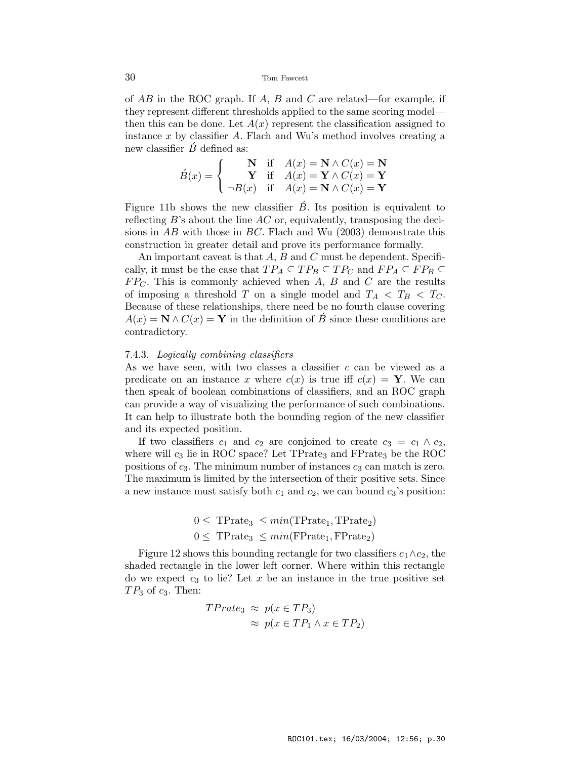of  $AB$  in the ROC graph. If  $A$ ,  $B$  and  $C$  are related—for example, if they represent different thresholds applied to the same scoring model then this can be done. Let  $A(x)$  represent the classification assigned to instance  $x$  by classifier  $A$ . Flach and Wu's method involves creating a new classifier  $\acute{B}$  defined as:

$$
\acute{B}(x) = \begin{cases} \n\mathbf{N} & \text{if} \quad A(x) = \mathbf{N} \land C(x) = \mathbf{N} \\ \n\mathbf{Y} & \text{if} \quad A(x) = \mathbf{Y} \land C(x) = \mathbf{Y} \\ \neg B(x) & \text{if} \quad A(x) = \mathbf{N} \land C(x) = \mathbf{Y} \n\end{cases}
$$

Figure 11b shows the new classifier  $\hat{B}$ . Its position is equivalent to reflecting  $B$ 's about the line  $AC$  or, equivalently, transposing the decisions in  $AB$  with those in  $BC$ . Flach and Wu (2003) demonstrate this construction in greater detail and prove its performance formally.

An important caveat is that  $A, B$  and  $C$  must be dependent. Specifically, it must be the case that  $TP_A \subseteq TP_B \subseteq TP_C$  and  $FP_A \subseteq FP_B \subseteq$  $FP<sub>C</sub>$ . This is commonly achieved when A, B and C are the results of imposing a threshold T on a single model and  $T_A < T_B < T_C$ . Because of these relationships, there need be no fourth clause covering  $A(x) = \mathbf{N} \wedge C(x) = \mathbf{Y}$  in the definition of B since these conditions are contradictory.

#### 7.4.3. Logically combining classifiers

As we have seen, with two classes a classifier c can be viewed as a predicate on an instance x where  $c(x)$  is true iff  $c(x) = Y$ . We can then speak of boolean combinations of classifiers, and an ROC graph can provide a way of visualizing the performance of such combinations. It can help to illustrate both the bounding region of the new classifier and its expected position.

If two classifiers  $c_1$  and  $c_2$  are conjoined to create  $c_3 = c_1 \wedge c_2$ , where will  $c_3$  lie in ROC space? Let TPrate<sub>3</sub> and FPrate<sub>3</sub> be the ROC positions of  $c_3$ . The minimum number of instances  $c_3$  can match is zero. The maximum is limited by the intersection of their positive sets. Since a new instance must satisfy both  $c_1$  and  $c_2$ , we can bound  $c_3$ 's position:

```
0 \leq \text{TPrate}_3 \leq \text{min}(\text{TPrate}_1, \text{TPrate}_2)0 \leq \text{TPrate}_3 \leq \text{min}(\text{FPrate}_1, \text{FPrate}_2)
```
Figure 12 shows this bounding rectangle for two classifiers  $c_1 \wedge c_2$ , the shaded rectangle in the lower left corner. Where within this rectangle do we expect  $c_3$  to lie? Let x be an instance in the true positive set  $TP_3$  of  $c_3$ . Then:

$$
TPrate_3 \approx p(x \in TP_3)
$$

$$
\approx p(x \in TP_1 \land x \in TP_2)
$$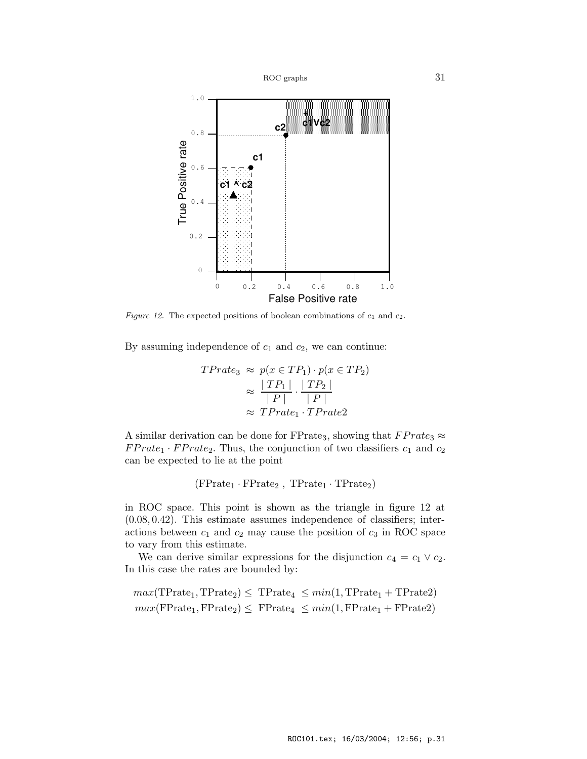

Figure 12. The expected positions of boolean combinations of  $c_1$  and  $c_2$ .

By assuming independence of  $c_1$  and  $c_2$ , we can continue:

$$
TPrate_3 \approx p(x \in TP_1) \cdot p(x \in TP_2)
$$

$$
\approx \frac{|TP_1|}{|P|} \cdot \frac{|TP_2|}{|P|}
$$

$$
\approx TPrate_1 \cdot TPrate_2
$$

A similar derivation can be done for FPrate<sub>3</sub>, showing that  $FPrate_3 \approx$  $FPrate_1 \cdot FPrate_2$ . Thus, the conjunction of two classifiers  $c_1$  and  $c_2$ can be expected to lie at the point

 $(FPrate_1 \cdot FPrate_2, TPrate_1 \cdot TPrate_2)$ 

in ROC space. This point is shown as the triangle in figure 12 at (0.08, 0.42). This estimate assumes independence of classifiers; interactions between  $c_1$  and  $c_2$  may cause the position of  $c_3$  in ROC space to vary from this estimate.

We can derive similar expressions for the disjunction  $c_4 = c_1 \vee c_2$ . In this case the rates are bounded by:

 $max(TPrate_1, TPrate_2) \leq TPrate_4 \leq min(1, TPrate_1 + TPrate_2)$  $max(\text{FPrate}_1, \text{FPrate}_2) \leq \text{FPrate}_4 \leq min(1, \text{FPrate}_1 + \text{FPrate}_2)$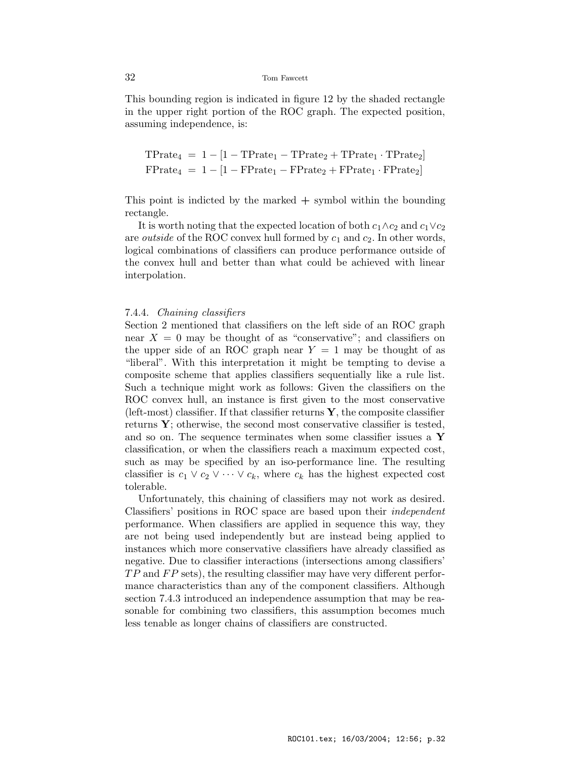This bounding region is indicated in figure 12 by the shaded rectangle in the upper right portion of the ROC graph. The expected position, assuming independence, is:

$$
TPrate_4 = 1 - [1 - TPrate_1 - TPrate_2 + TPrate_1 \cdot TPrate_2]
$$
  
FPrate<sub>4</sub> = 1 - [1 - FPrate<sub>1</sub> - FPrate<sub>2</sub> + FPrate<sub>1</sub> \cdot FPrate<sub>2</sub>]

This point is indicted by the marked  $+$  symbol within the bounding rectangle.

It is worth noting that the expected location of both  $c_1 \wedge c_2$  and  $c_1 \vee c_2$ are *outside* of the ROC convex hull formed by  $c_1$  and  $c_2$ . In other words, logical combinations of classifiers can produce performance outside of the convex hull and better than what could be achieved with linear interpolation.

#### 7.4.4. Chaining classifiers

Section 2 mentioned that classifiers on the left side of an ROC graph near  $X = 0$  may be thought of as "conservative"; and classifiers on the upper side of an ROC graph near  $Y = 1$  may be thought of as "liberal". With this interpretation it might be tempting to devise a composite scheme that applies classifiers sequentially like a rule list. Such a technique might work as follows: Given the classifiers on the ROC convex hull, an instance is first given to the most conservative (left-most) classifier. If that classifier returns  $\mathbf{Y}$ , the composite classifier returns  $\mathbf{Y}$ ; otherwise, the second most conservative classifier is tested, and so on. The sequence terminates when some classifier issues a Y classification, or when the classifiers reach a maximum expected cost, such as may be specified by an iso-performance line. The resulting classifier is  $c_1 \vee c_2 \vee \cdots \vee c_k$ , where  $c_k$  has the highest expected cost tolerable.

Unfortunately, this chaining of classifiers may not work as desired. Classifiers' positions in ROC space are based upon their independent performance. When classifiers are applied in sequence this way, they are not being used independently but are instead being applied to instances which more conservative classifiers have already classified as negative. Due to classifier interactions (intersections among classifiers'  $TP$  and  $FP$  sets), the resulting classifier may have very different performance characteristics than any of the component classifiers. Although section 7.4.3 introduced an independence assumption that may be reasonable for combining two classifiers, this assumption becomes much less tenable as longer chains of classifiers are constructed.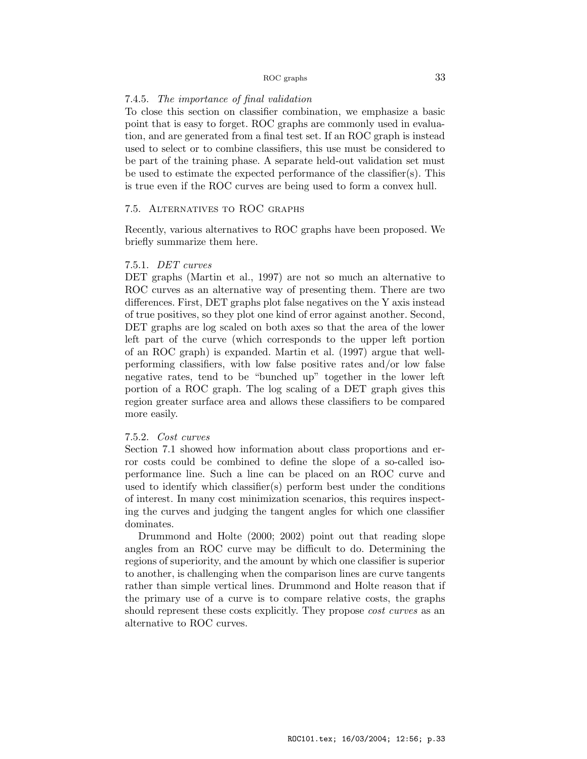#### ROC graphs 33

## 7.4.5. The importance of final validation

To close this section on classifier combination, we emphasize a basic point that is easy to forget. ROC graphs are commonly used in evaluation, and are generated from a final test set. If an ROC graph is instead used to select or to combine classifiers, this use must be considered to be part of the training phase. A separate held-out validation set must be used to estimate the expected performance of the classifier(s). This is true even if the ROC curves are being used to form a convex hull.

#### 7.5. Alternatives to ROC graphs

Recently, various alternatives to ROC graphs have been proposed. We briefly summarize them here.

#### 7.5.1. DET curves

DET graphs (Martin et al., 1997) are not so much an alternative to ROC curves as an alternative way of presenting them. There are two differences. First, DET graphs plot false negatives on the Y axis instead of true positives, so they plot one kind of error against another. Second, DET graphs are log scaled on both axes so that the area of the lower left part of the curve (which corresponds to the upper left portion of an ROC graph) is expanded. Martin et al. (1997) argue that wellperforming classifiers, with low false positive rates and/or low false negative rates, tend to be "bunched up" together in the lower left portion of a ROC graph. The log scaling of a DET graph gives this region greater surface area and allows these classifiers to be compared more easily.

#### 7.5.2. Cost curves

Section 7.1 showed how information about class proportions and error costs could be combined to define the slope of a so-called isoperformance line. Such a line can be placed on an ROC curve and used to identify which classifier(s) perform best under the conditions of interest. In many cost minimization scenarios, this requires inspecting the curves and judging the tangent angles for which one classifier dominates.

Drummond and Holte (2000; 2002) point out that reading slope angles from an ROC curve may be difficult to do. Determining the regions of superiority, and the amount by which one classifier is superior to another, is challenging when the comparison lines are curve tangents rather than simple vertical lines. Drummond and Holte reason that if the primary use of a curve is to compare relative costs, the graphs should represent these costs explicitly. They propose *cost curves* as an alternative to ROC curves.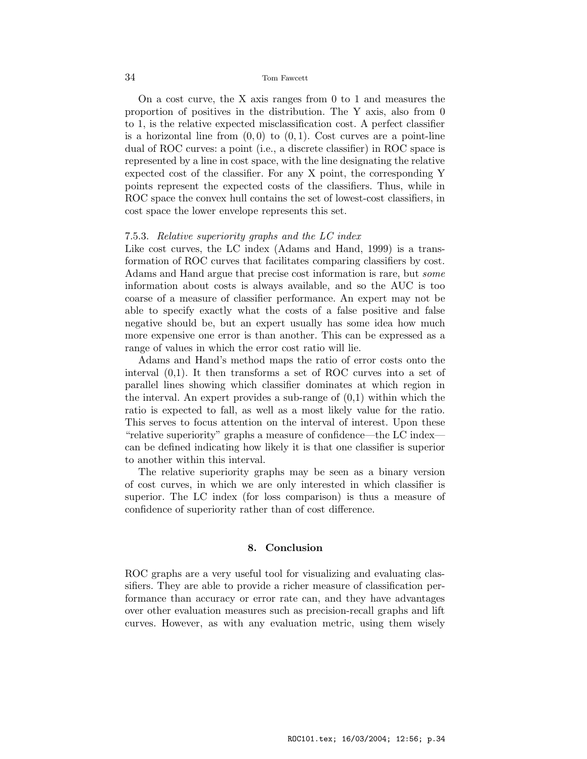On a cost curve, the X axis ranges from 0 to 1 and measures the proportion of positives in the distribution. The Y axis, also from 0 to 1, is the relative expected misclassification cost. A perfect classifier is a horizontal line from  $(0,0)$  to  $(0,1)$ . Cost curves are a point-line dual of ROC curves: a point (i.e., a discrete classifier) in ROC space is represented by a line in cost space, with the line designating the relative expected cost of the classifier. For any X point, the corresponding Y points represent the expected costs of the classifiers. Thus, while in ROC space the convex hull contains the set of lowest-cost classifiers, in cost space the lower envelope represents this set.

#### 7.5.3. Relative superiority graphs and the LC index

Like cost curves, the LC index (Adams and Hand, 1999) is a transformation of ROC curves that facilitates comparing classifiers by cost. Adams and Hand argue that precise cost information is rare, but *some* information about costs is always available, and so the AUC is too coarse of a measure of classifier performance. An expert may not be able to specify exactly what the costs of a false positive and false negative should be, but an expert usually has some idea how much more expensive one error is than another. This can be expressed as a range of values in which the error cost ratio will lie.

Adams and Hand's method maps the ratio of error costs onto the interval (0,1). It then transforms a set of ROC curves into a set of parallel lines showing which classifier dominates at which region in the interval. An expert provides a sub-range of  $(0,1)$  within which the ratio is expected to fall, as well as a most likely value for the ratio. This serves to focus attention on the interval of interest. Upon these "relative superiority" graphs a measure of confidence—the LC index can be defined indicating how likely it is that one classifier is superior to another within this interval.

The relative superiority graphs may be seen as a binary version of cost curves, in which we are only interested in which classifier is superior. The LC index (for loss comparison) is thus a measure of confidence of superiority rather than of cost difference.

## 8. Conclusion

ROC graphs are a very useful tool for visualizing and evaluating classifiers. They are able to provide a richer measure of classification performance than accuracy or error rate can, and they have advantages over other evaluation measures such as precision-recall graphs and lift curves. However, as with any evaluation metric, using them wisely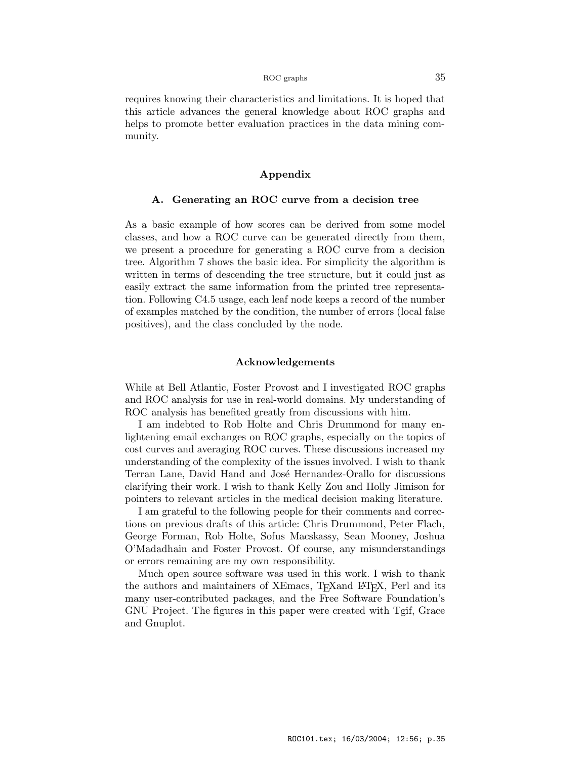#### ROC graphs 35

requires knowing their characteristics and limitations. It is hoped that this article advances the general knowledge about ROC graphs and helps to promote better evaluation practices in the data mining community.

## Appendix

#### A. Generating an ROC curve from a decision tree

As a basic example of how scores can be derived from some model classes, and how a ROC curve can be generated directly from them, we present a procedure for generating a ROC curve from a decision tree. Algorithm 7 shows the basic idea. For simplicity the algorithm is written in terms of descending the tree structure, but it could just as easily extract the same information from the printed tree representation. Following C4.5 usage, each leaf node keeps a record of the number of examples matched by the condition, the number of errors (local false positives), and the class concluded by the node.

#### Acknowledgements

While at Bell Atlantic, Foster Provost and I investigated ROC graphs and ROC analysis for use in real-world domains. My understanding of ROC analysis has benefited greatly from discussions with him.

I am indebted to Rob Holte and Chris Drummond for many enlightening email exchanges on ROC graphs, especially on the topics of cost curves and averaging ROC curves. These discussions increased my understanding of the complexity of the issues involved. I wish to thank Terran Lane, David Hand and José Hernandez-Orallo for discussions clarifying their work. I wish to thank Kelly Zou and Holly Jimison for pointers to relevant articles in the medical decision making literature.

I am grateful to the following people for their comments and corrections on previous drafts of this article: Chris Drummond, Peter Flach, George Forman, Rob Holte, Sofus Macskassy, Sean Mooney, Joshua O'Madadhain and Foster Provost. Of course, any misunderstandings or errors remaining are my own responsibility.

Much open source software was used in this work. I wish to thank the authors and maintainers of XEmacs, T<sub>E</sub>Xand L<sup>AT</sup>EX, Perl and its many user-contributed packages, and the Free Software Foundation's GNU Project. The figures in this paper were created with Tgif, Grace and Gnuplot.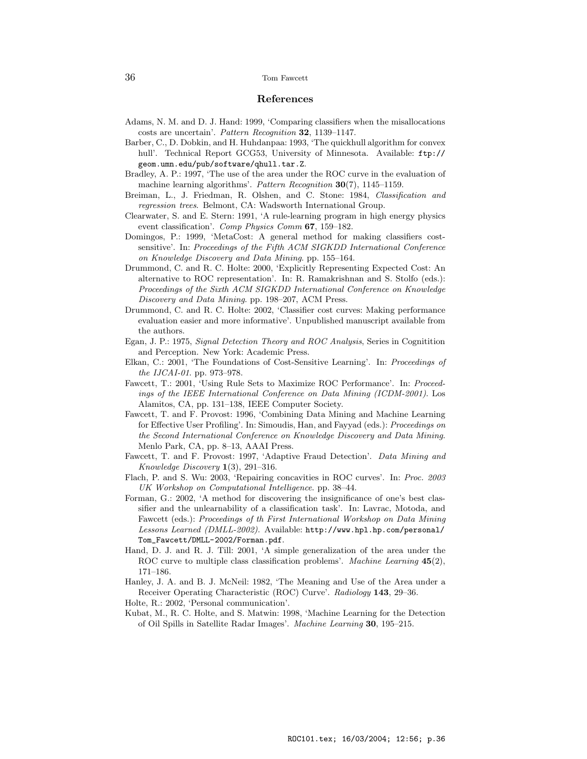#### References

- Adams, N. M. and D. J. Hand: 1999, 'Comparing classifiers when the misallocations costs are uncertain'. Pattern Recognition 32, 1139–1147.
- Barber, C., D. Dobkin, and H. Huhdanpaa: 1993, 'The quickhull algorithm for convex hull'. Technical Report GCG53, University of Minnesota. Available: ftp:// geom.umn.edu/pub/software/qhull.tar.Z.
- Bradley, A. P.: 1997, 'The use of the area under the ROC curve in the evaluation of machine learning algorithms'. Pattern Recognition 30(7), 1145–1159.
- Breiman, L., J. Friedman, R. Olshen, and C. Stone: 1984, Classification and regression trees. Belmont, CA: Wadsworth International Group.
- Clearwater, S. and E. Stern: 1991, 'A rule-learning program in high energy physics event classification'. Comp Physics Comm 67, 159–182.
- Domingos, P.: 1999, 'MetaCost: A general method for making classifiers costsensitive'. In: Proceedings of the Fifth ACM SIGKDD International Conference on Knowledge Discovery and Data Mining. pp. 155–164.
- Drummond, C. and R. C. Holte: 2000, 'Explicitly Representing Expected Cost: An alternative to ROC representation'. In: R. Ramakrishnan and S. Stolfo (eds.): Proceedings of the Sixth ACM SIGKDD International Conference on Knowledge Discovery and Data Mining. pp. 198–207, ACM Press.
- Drummond, C. and R. C. Holte: 2002, 'Classifier cost curves: Making performance evaluation easier and more informative'. Unpublished manuscript available from the authors.
- Egan, J. P.: 1975, Signal Detection Theory and ROC Analysis, Series in Cognitition and Perception. New York: Academic Press.
- Elkan, C.: 2001, 'The Foundations of Cost-Sensitive Learning'. In: Proceedings of the IJCAI-01. pp. 973–978.
- Fawcett, T.: 2001, 'Using Rule Sets to Maximize ROC Performance'. In: Proceedings of the IEEE International Conference on Data Mining (ICDM-2001). Los Alamitos, CA, pp. 131–138, IEEE Computer Society.
- Fawcett, T. and F. Provost: 1996, 'Combining Data Mining and Machine Learning for Effective User Profiling'. In: Simoudis, Han, and Fayyad (eds.): Proceedings on the Second International Conference on Knowledge Discovery and Data Mining. Menlo Park, CA, pp. 8–13, AAAI Press.
- Fawcett, T. and F. Provost: 1997, 'Adaptive Fraud Detection'. Data Mining and Knowledge Discovery  $1(3)$ , 291–316.
- Flach, P. and S. Wu: 2003, 'Repairing concavities in ROC curves'. In: Proc. 2003 UK Workshop on Computational Intelligence. pp. 38–44.
- Forman, G.: 2002, 'A method for discovering the insignificance of one's best classifier and the unlearnability of a classification task'. In: Lavrac, Motoda, and Fawcett (eds.): Proceedings of th First International Workshop on Data Mining Lessons Learned (DMLL-2002). Available: http://www.hpl.hp.com/personal/ Tom\_Fawcett/DMLL-2002/Forman.pdf.
- Hand, D. J. and R. J. Till: 2001, 'A simple generalization of the area under the ROC curve to multiple class classification problems'. Machine Learning  $45(2)$ , 171–186.
- Hanley, J. A. and B. J. McNeil: 1982, 'The Meaning and Use of the Area under a Receiver Operating Characteristic (ROC) Curve'. Radiology 143, 29–36.

Holte, R.: 2002, 'Personal communication'.

Kubat, M., R. C. Holte, and S. Matwin: 1998, 'Machine Learning for the Detection of Oil Spills in Satellite Radar Images'. Machine Learning 30, 195–215.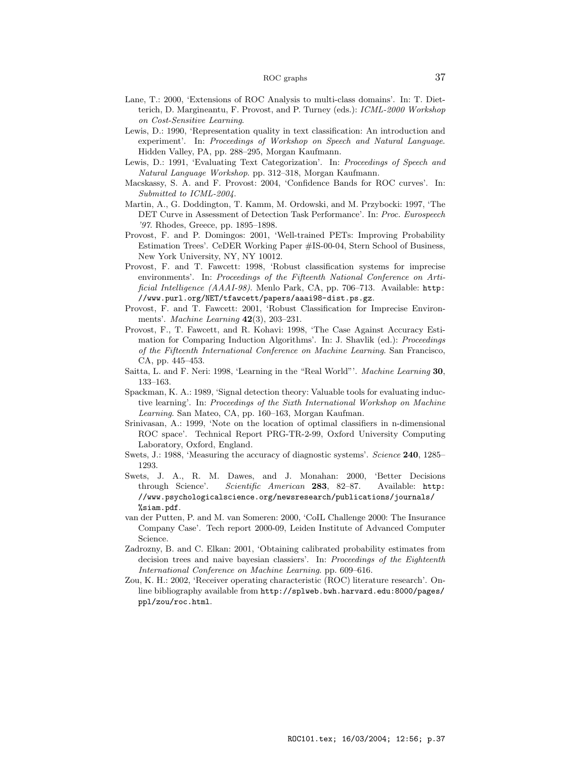- Lane, T.: 2000, 'Extensions of ROC Analysis to multi-class domains'. In: T. Dietterich, D. Margineantu, F. Provost, and P. Turney (eds.): ICML-2000 Workshop on Cost-Sensitive Learning.
- Lewis, D.: 1990, 'Representation quality in text classification: An introduction and experiment'. In: Proceedings of Workshop on Speech and Natural Language. Hidden Valley, PA, pp. 288–295, Morgan Kaufmann.
- Lewis, D.: 1991, 'Evaluating Text Categorization'. In: Proceedings of Speech and Natural Language Workshop. pp. 312–318, Morgan Kaufmann.
- Macskassy, S. A. and F. Provost: 2004, 'Confidence Bands for ROC curves'. In: Submitted to ICML-2004.
- Martin, A., G. Doddington, T. Kamm, M. Ordowski, and M. Przybocki: 1997, 'The DET Curve in Assessment of Detection Task Performance'. In: Proc. Eurospeech '97. Rhodes, Greece, pp. 1895–1898.
- Provost, F. and P. Domingos: 2001, 'Well-trained PETs: Improving Probability Estimation Trees'. CeDER Working Paper #IS-00-04, Stern School of Business, New York University, NY, NY 10012.
- Provost, F. and T. Fawcett: 1998, 'Robust classification systems for imprecise environments'. In: Proceedings of the Fifteenth National Conference on Artificial Intelligence (AAAI-98). Menlo Park, CA, pp. 706–713. Available: http: //www.purl.org/NET/tfawcett/papers/aaai98-dist.ps.gz.
- Provost, F. and T. Fawcett: 2001, 'Robust Classification for Imprecise Environments'. Machine Learning 42(3), 203–231.
- Provost, F., T. Fawcett, and R. Kohavi: 1998, 'The Case Against Accuracy Estimation for Comparing Induction Algorithms'. In: J. Shavlik (ed.): Proceedings of the Fifteenth International Conference on Machine Learning. San Francisco, CA, pp. 445–453.
- Saitta, L. and F. Neri: 1998, 'Learning in the "Real World"'. Machine Learning 30, 133–163.
- Spackman, K. A.: 1989, 'Signal detection theory: Valuable tools for evaluating inductive learning'. In: Proceedings of the Sixth International Workshop on Machine Learning. San Mateo, CA, pp. 160–163, Morgan Kaufman.
- Srinivasan, A.: 1999, 'Note on the location of optimal classifiers in n-dimensional ROC space'. Technical Report PRG-TR-2-99, Oxford University Computing Laboratory, Oxford, England.
- Swets, J.: 1988, 'Measuring the accuracy of diagnostic systems'. Science 240, 1285– 1293.
- Swets, J. A., R. M. Dawes, and J. Monahan: 2000, 'Better Decisions through Science'. Scientific American 283, 82–87. Available: http: //www.psychologicalscience.org/newsresearch/publications/journals/ %siam.pdf.
- van der Putten, P. and M. van Someren: 2000, 'CoIL Challenge 2000: The Insurance Company Case'. Tech report 2000-09, Leiden Institute of Advanced Computer Science.
- Zadrozny, B. and C. Elkan: 2001, 'Obtaining calibrated probability estimates from decision trees and naive bayesian classiers'. In: Proceedings of the Eighteenth International Conference on Machine Learning. pp. 609–616.
- Zou, K. H.: 2002, 'Receiver operating characteristic (ROC) literature research'. Online bibliography available from http://splweb.bwh.harvard.edu:8000/pages/ ppl/zou/roc.html.